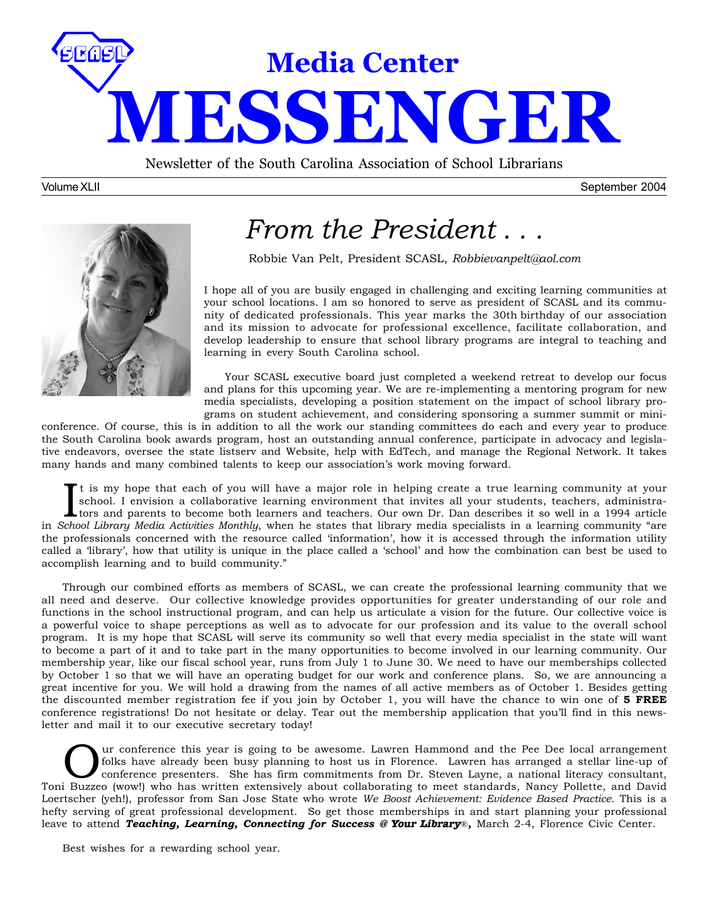

Newsletter of the South Carolina Association of School Librarians

Volume XLII September 2004



## *From the President . . .*

Robbie Van Pelt, President SCASL, *Robbievanpelt@aol.com*

I hope all of you are busily engaged in challenging and exciting learning communities at your school locations. I am so honored to serve as president of SCASL and its community of dedicated professionals. This year marks the 30th birthday of our association and its mission to advocate for professional excellence, facilitate collaboration, and develop leadership to ensure that school library programs are integral to teaching and learning in every South Carolina school.

Your SCASL executive board just completed a weekend retreat to develop our focus and plans for this upcoming year. We are re-implementing a mentoring program for new media specialists, developing a position statement on the impact of school library programs on student achievement, and considering sponsoring a summer summit or mini-

conference. Of course, this is in addition to all the work our standing committees do each and every year to produce the South Carolina book awards program, host an outstanding annual conference, participate in advocacy and legislative endeavors, oversee the state listserv and Website, help with EdTech, and manage the Regional Network. It takes many hands and many combined talents to keep our association's work moving forward.

It is my hope that each of you will have a major role in helping create a true learning community at your school. I envision a collaborative learning environment that invites all your students, teachers, administrations an t is my hope that each of you will have a major role in helping create a true learning community at your school. I envision a collaborative learning environment that invites all your students, teachers, administrators and parents to become both learners and teachers. Our own Dr. Dan describes it so well in a 1994 article the professionals concerned with the resource called 'information', how it is accessed through the information utility called a 'library', how that utility is unique in the place called a 'school' and how the combination can best be used to accomplish learning and to build community."

Through our combined efforts as members of SCASL, we can create the professional learning community that we all need and deserve. Our collective knowledge provides opportunities for greater understanding of our role and functions in the school instructional program, and can help us articulate a vision for the future. Our collective voice is a powerful voice to shape perceptions as well as to advocate for our profession and its value to the overall school program. It is my hope that SCASL will serve its community so well that every media specialist in the state will want to become a part of it and to take part in the many opportunities to become involved in our learning community. Our membership year, like our fiscal school year, runs from July 1 to June 30. We need to have our memberships collected by October 1 so that we will have an operating budget for our work and conference plans. So, we are announcing a great incentive for you. We will hold a drawing from the names of all active members as of October 1. Besides getting the discounted member registration fee if you join by October 1, you will have the chance to win one of **5 FREE** conference registrations! Do not hesitate or delay. Tear out the membership application that you'll find in this newsletter and mail it to our executive secretary today!

Our conference this year is going to be awesome. Lawren Hammond and the Pee Dee local arrangement<br>folks have already been busy planning to host us in Florence. Lawren has arranged a stellar line-up of<br>conference presenters folks have already been busy planning to host us in Florence. Lawren has arranged a stellar line-up of Toni Buzzeo (wow!) who has written extensively about collaborating to meet standards, Nancy Pollette, and David Loertscher (yeh!), professor from San Jose State who wrote *We Boost Achievement: Evidence Based Practice*. This is a hefty serving of great professional development. So get those memberships in and start planning your professional leave to attend *Teaching, Learning, Connecting for Success* **@ Your Library**®*,* March 2-4, Florence Civic Center.

Best wishes for a rewarding school year.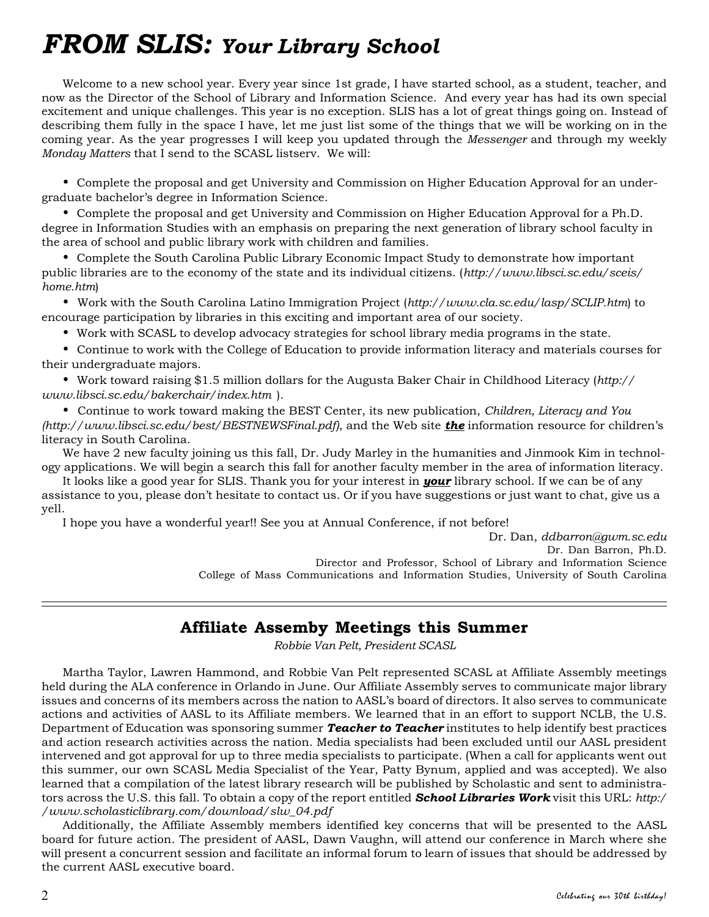## *FROM SLIS: Your Library School*

Welcome to a new school year. Every year since 1st grade, I have started school, as a student, teacher, and now as the Director of the School of Library and Information Science. And every year has had its own special excitement and unique challenges. This year is no exception. SLIS has a lot of great things going on. Instead of describing them fully in the space I have, let me just list some of the things that we will be working on in the coming year. As the year progresses I will keep you updated through the *Messenger* and through my weekly *Monday Matters* that I send to the SCASL listserv. We will:

• Complete the proposal and get University and Commission on Higher Education Approval for an undergraduate bachelor's degree in Information Science.

• Complete the proposal and get University and Commission on Higher Education Approval for a Ph.D. degree in Information Studies with an emphasis on preparing the next generation of library school faculty in the area of school and public library work with children and families.

• Complete the South Carolina Public Library Economic Impact Study to demonstrate how important public libraries are to the economy of the state and its individual citizens. (*http://www.libsci.sc.edu/sceis/ home.htm*)

• Work with the South Carolina Latino Immigration Project (*http://www.cla.sc.edu/lasp/SCLIP.htm*) to encourage participation by libraries in this exciting and important area of our society.

• Work with SCASL to develop advocacy strategies for school library media programs in the state.

• Continue to work with the College of Education to provide information literacy and materials courses for their undergraduate majors.

• Work toward raising \$1.5 million dollars for the Augusta Baker Chair in Childhood Literacy (*http:// www.libsci.sc.edu/bakerchair/index.htm* ).

• Continue to work toward making the BEST Center, its new publication, *Children, Literacy and You (http://www.libsci.sc.edu/best/BESTNEWSFinal.pdf)*, and the Web site *the* information resource for children's literacy in South Carolina.

We have 2 new faculty joining us this fall, Dr. Judy Marley in the humanities and Jinmook Kim in technology applications. We will begin a search this fall for another faculty member in the area of information literacy.

It looks like a good year for SLIS. Thank you for your interest in *your* library school. If we can be of any assistance to you, please don't hesitate to contact us. Or if you have suggestions or just want to chat, give us a yell.

I hope you have a wonderful year!! See you at Annual Conference, if not before!

Dr. Dan, *ddbarron@gwm.sc.edu* Dr. Dan Barron, Ph.D. Director and Professor, School of Library and Information Science College of Mass Communications and Information Studies, University of South Carolina

## **Affiliate Assemby Meetings this Summer**

*Robbie Van Pelt, President SCASL*

Martha Taylor, Lawren Hammond, and Robbie Van Pelt represented SCASL at Affiliate Assembly meetings held during the ALA conference in Orlando in June. Our Affiliate Assembly serves to communicate major library issues and concerns of its members across the nation to AASL's board of directors. It also serves to communicate actions and activities of AASL to its Affiliate members. We learned that in an effort to support NCLB, the U.S. Department of Education was sponsoring summer *Teacher to Teacher* institutes to help identify best practices and action research activities across the nation. Media specialists had been excluded until our AASL president intervened and got approval for up to three media specialists to participate. (When a call for applicants went out this summer, our own SCASL Media Specialist of the Year, Patty Bynum, applied and was accepted). We also learned that a compilation of the latest library research will be published by Scholastic and sent to administrators across the U.S. this fall. To obtain a copy of the report entitled *School Libraries Work* visit this URL: *http:/ /www.scholasticlibrary.com/download/slw\_04.pdf*

Additionally, the Affiliate Assembly members identified key concerns that will be presented to the AASL board for future action. The president of AASL, Dawn Vaughn, will attend our conference in March where she will present a concurrent session and facilitate an informal forum to learn of issues that should be addressed by the current AASL executive board.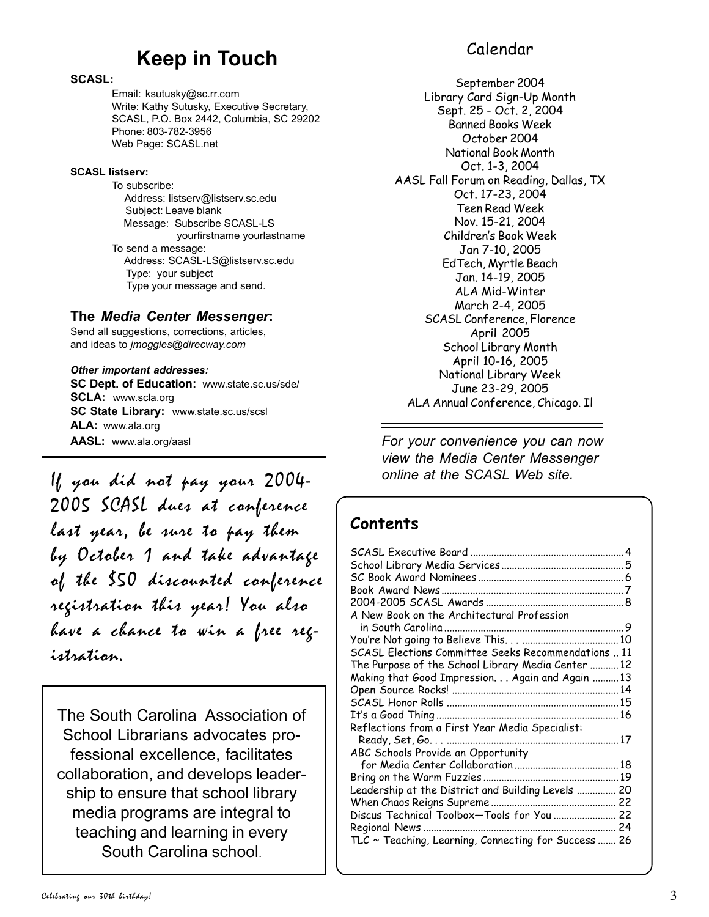## **Keep in Touch**

### **SCASL:**

Email: ksutusky@sc.rr.com Write: Kathy Sutusky, Executive Secretary, SCASL, P.O. Box 2442, Columbia, SC 29202 Phone: 803-782-3956 Web Page: SCASL.net

### **SCASL listserv:**

To subscribe: Address: listserv@listserv.sc.edu Subject: Leave blank Message: Subscribe SCASL-LS yourfirstname yourlastname To send a message: Address: SCASL-LS@listserv.sc.edu Type: your subject Type your message and send.

## **The** *Media Center Messenger***:**

Send all suggestions, corrections, articles, and ideas to *jmoggles@direcway.com*

*Other important addresses:* **SC Dept. of Education:** www.state.sc.us/sde/ **SCLA:** www.scla.org **SC State Library:** www.state.sc.us/scsl **ALA:** www.ala.org **AASL:** www.ala.org/aasl

If you did not pay your 2004- 2005 SCASL dues at conference last year, be sure to pay them by October 1 and take advantage of the \$50 discounted conference registration this year! You also have a chance to win a free registration.

The South Carolina Association of School Librarians advocates professional excellence, facilitates collaboration, and develops leadership to ensure that school library media programs are integral to teaching and learning in every South Carolina school.

## Calendar

September 2004 Library Card Sign-Up Month Sept. 25 - Oct. 2, 2004 Banned Books Week October 2004 National Book Month Oct. 1-3, 2004 AASL Fall Forum on Reading, Dallas, TX Oct. 17-23, 2004 Teen Read Week Nov. 15-21, 2004 Children's Book Week Jan 7-10, 2005 EdTech, Myrtle Beach Jan. 14-19, 2005 ALA Mid-Winter March 2-4, 2005 SCASL Conference, Florence April 2005 School Library Month April 10-16, 2005 National Library Week June 23-29, 2005 ALA Annual Conference, Chicago. Il

*For your convenience you can now view the Media Center Messenger online at the SCASL Web site.*

## **Contents**

| A New Book on the Architectural Profession                 |  |
|------------------------------------------------------------|--|
|                                                            |  |
|                                                            |  |
| SCASL Elections Committee Seeks Recommendations  11        |  |
| The Purpose of the School Library Media Center 12          |  |
| Making that Good Impression. Again and Again  13           |  |
|                                                            |  |
|                                                            |  |
|                                                            |  |
| Reflections from a First Year Media Specialist:            |  |
|                                                            |  |
| ABC Schools Provide an Opportunity                         |  |
|                                                            |  |
|                                                            |  |
| Leadership at the District and Building Levels  20         |  |
|                                                            |  |
| Discus Technical Toolbox-Tools for You  22                 |  |
|                                                            |  |
| $TLC \sim Teaching$ , Learning, Connecting for Success  26 |  |
|                                                            |  |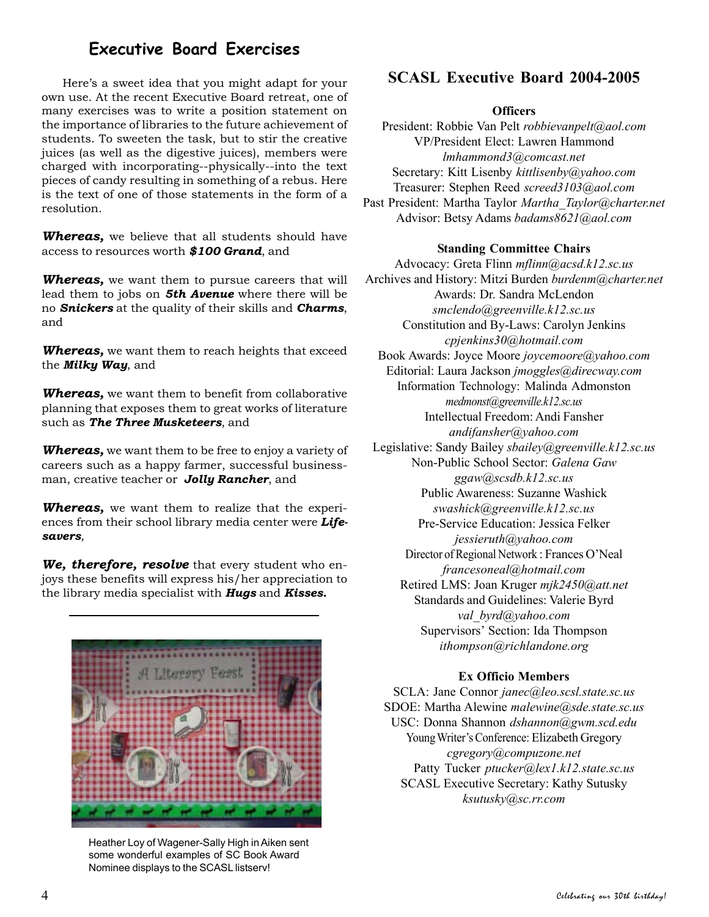## **Executive Board Exercises**

Here's a sweet idea that you might adapt for your own use. At the recent Executive Board retreat, one of many exercises was to write a position statement on the importance of libraries to the future achievement of students. To sweeten the task, but to stir the creative juices (as well as the digestive juices), members were charged with incorporating--physically--into the text pieces of candy resulting in something of a rebus. Here is the text of one of those statements in the form of a resolution.

*Whereas,* we believe that all students should have access to resources worth *\$100 Grand*, and

*Whereas,* we want them to pursue careers that will lead them to jobs on *5th Avenue* where there will be no *Snickers* at the quality of their skills and *Charms*, and

*Whereas,* we want them to reach heights that exceed the *Milky Way*, and

*Whereas,* we want them to benefit from collaborative planning that exposes them to great works of literature such as *The Three Musketeers*, and

*Whereas,* we want them to be free to enjoy a variety of careers such as a happy farmer, successful businessman, creative teacher or *Jolly Rancher*, and

*Whereas,* we want them to realize that the experiences from their school library media center were *Lifesavers*,

*We, therefore, resolve* that every student who enjoys these benefits will express his/her appreciation to the library media specialist with *Hugs* and *Kisses.*



Heather Loy of Wagener-Sally High in Aiken sent some wonderful examples of SC Book Award Nominee displays to the SCASL listserv!

## **SCASL Executive Board 2004-2005**

### **Officers**

President: Robbie Van Pelt *robbievanpelt@aol.com* VP/President Elect: Lawren Hammond *lmhammond3@comcast.net* Secretary: Kitt Lisenby *kittlisenby@yahoo.com* Treasurer: Stephen Reed *screed3103@aol.com* Past President: Martha Taylor *Martha\_Taylor@charter.net* Advisor: Betsy Adams *badams8621@aol.com*

### **Standing Committee Chairs**

Advocacy: Greta Flinn *mflinn@acsd.k12.sc.us* Archives and History: Mitzi Burden *burdenm@charter.net* Awards: Dr. Sandra McLendon *smclendo@greenville.k12.sc.us* Constitution and By-Laws: Carolyn Jenkins *cpjenkins30@hotmail.com* Book Awards: Joyce Moore *joycemoore@yahoo.com* Editorial: Laura Jackson *jmoggles@direcway.com* Information Technology: Malinda Admonston *medmonst@greenville.k12.sc.us* Intellectual Freedom: Andi Fansher *andifansher@yahoo.com* Legislative: Sandy Bailey *sbailey@greenville.k12.sc.us* Non-Public School Sector: *Galena Gaw ggaw@scsdb.k12.sc.us* Public Awareness: Suzanne Washick *swashick@greenville.k12.sc.us* Pre-Service Education: Jessica Felker *jessieruth@yahoo.com* Director of Regional Network : Frances O'Neal *francesoneal@hotmail.com* Retired LMS: Joan Kruger *mjk2450@att.net* Standards and Guidelines: Valerie Byrd *val\_byrd@yahoo.com* Supervisors' Section: Ida Thompson *ithompson@richlandone.org*

### **Ex Officio Members**

SCLA: Jane Connor *janec@leo.scsl.state.sc.us* SDOE: Martha Alewine *malewine@sde.state.sc.us* USC: Donna Shannon *dshannon@gwm.scd.edu* Young Writer's Conference: Elizabeth Gregory *cgregory@compuzone.net* Patty Tucker *ptucker@lex1.k12.state.sc.us* SCASL Executive Secretary: Kathy Sutusky *ksutusky@sc.rr.com*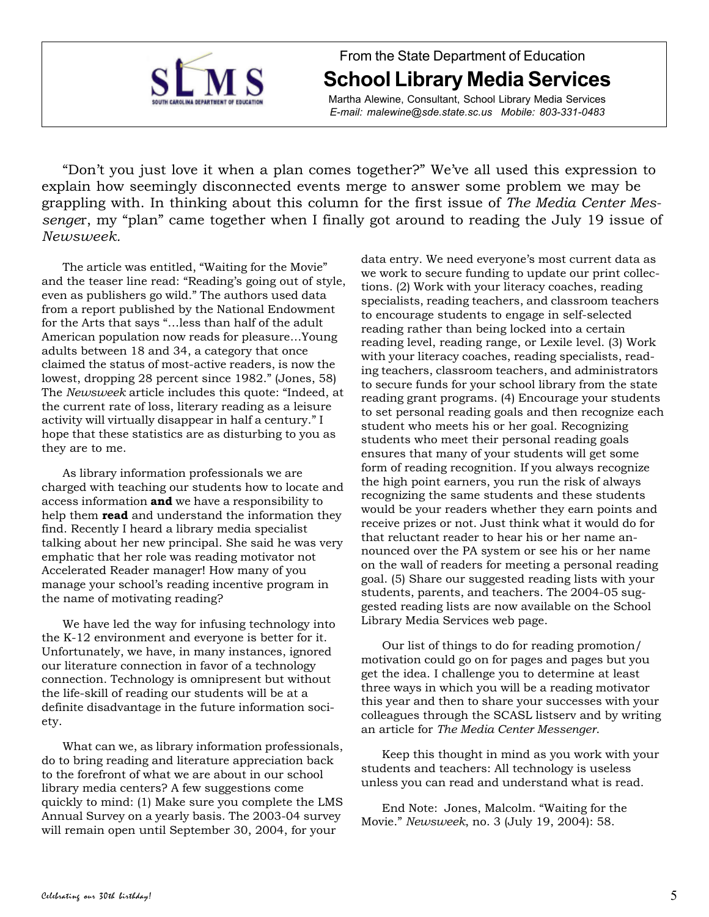

From the State Department of Education **School Library Media Services**

Martha Alewine, Consultant, School Library Media Services *E-mail: malewine@sde.state.sc.us Mobile: 803-331-0483*

"Don't you just love it when a plan comes together?" We've all used this expression to explain how seemingly disconnected events merge to answer some problem we may be grappling with. In thinking about this column for the first issue of *The Media Center Messenge*r, my "plan" came together when I finally got around to reading the July 19 issue of *Newsweek.*

The article was entitled, "Waiting for the Movie" and the teaser line read: "Reading's going out of style, even as publishers go wild." The authors used data from a report published by the National Endowment for the Arts that says "…less than half of the adult American population now reads for pleasure…Young adults between 18 and 34, a category that once claimed the status of most-active readers, is now the lowest, dropping 28 percent since 1982." (Jones, 58) The *Newsweek* article includes this quote: "Indeed, at the current rate of loss, literary reading as a leisure activity will virtually disappear in half a century." I hope that these statistics are as disturbing to you as they are to me.

As library information professionals we are charged with teaching our students how to locate and access information **and** we have a responsibility to help them **read** and understand the information they find. Recently I heard a library media specialist talking about her new principal. She said he was very emphatic that her role was reading motivator not Accelerated Reader manager! How many of you manage your school's reading incentive program in the name of motivating reading?

We have led the way for infusing technology into the K-12 environment and everyone is better for it. Unfortunately, we have, in many instances, ignored our literature connection in favor of a technology connection. Technology is omnipresent but without the life-skill of reading our students will be at a definite disadvantage in the future information society.

What can we, as library information professionals, do to bring reading and literature appreciation back to the forefront of what we are about in our school library media centers? A few suggestions come quickly to mind: (1) Make sure you complete the LMS Annual Survey on a yearly basis. The 2003-04 survey will remain open until September 30, 2004, for your

data entry. We need everyone's most current data as we work to secure funding to update our print collections. (2) Work with your literacy coaches, reading specialists, reading teachers, and classroom teachers to encourage students to engage in self-selected reading rather than being locked into a certain reading level, reading range, or Lexile level. (3) Work with your literacy coaches, reading specialists, reading teachers, classroom teachers, and administrators to secure funds for your school library from the state reading grant programs. (4) Encourage your students to set personal reading goals and then recognize each student who meets his or her goal. Recognizing students who meet their personal reading goals ensures that many of your students will get some form of reading recognition. If you always recognize the high point earners, you run the risk of always recognizing the same students and these students would be your readers whether they earn points and receive prizes or not. Just think what it would do for that reluctant reader to hear his or her name announced over the PA system or see his or her name on the wall of readers for meeting a personal reading goal. (5) Share our suggested reading lists with your students, parents, and teachers. The 2004-05 suggested reading lists are now available on the School Library Media Services web page.

Our list of things to do for reading promotion/ motivation could go on for pages and pages but you get the idea. I challenge you to determine at least three ways in which you will be a reading motivator this year and then to share your successes with your colleagues through the SCASL listserv and by writing an article for *The Media Center Messenger*.

Keep this thought in mind as you work with your students and teachers: All technology is useless unless you can read and understand what is read.

End Note: Jones, Malcolm. "Waiting for the Movie." *Newsweek*, no. 3 (July 19, 2004): 58.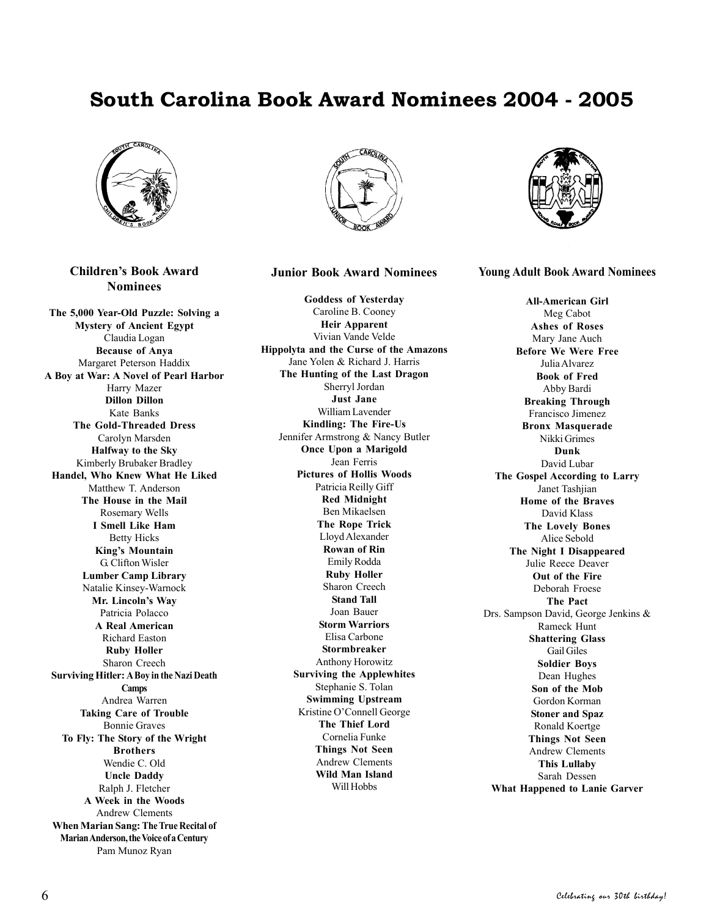## **South Carolina Book Award Nominees 2004 - 2005**



**Children's Book Award Nominees**

**The 5,000 Year-Old Puzzle: Solving a Mystery of Ancient Egypt** Claudia Logan **Because of Anya** Margaret Peterson Haddix **A Boy at War: A Novel of Pearl Harbor** Harry Mazer **Dillon Dillon** Kate Banks **The Gold-Threaded Dress** Carolyn Marsden **Halfway to the Sky** Kimberly Brubaker Bradley **Handel, Who Knew What He Liked** Matthew T. Anderson **The House in the Mail** Rosemary Wells **I Smell Like Ham** Betty Hicks **King's Mountain** G. Clifton Wisler **Lumber Camp Library** Natalie Kinsey-Warnock **Mr. Lincoln's Way** Patricia Polacco **A Real American** Richard Easton **Ruby Holler** Sharon Creech **Surviving Hitler: A Boy in the Nazi Death Camps** Andrea Warren **Taking Care of Trouble** Bonnie Graves **To Fly: The Story of the Wright Brothers** Wendie C. Old **Uncle Daddy** Ralph J. Fletcher **A Week in the Woods** Andrew Clements **When Marian Sang: The True Recital of Marian Anderson, the Voice of a Century** Pam Munoz Ryan



### **Junior Book Award Nominees**

**Goddess of Yesterday** Caroline B. Cooney **Heir Apparent** Vivian Vande Velde **Hippolyta and the Curse of the Amazons** Jane Yolen & Richard J. Harris **The Hunting of the Last Dragon** Sherryl Jordan **Just Jane** William Lavender **Kindling: The Fire-Us** Jennifer Armstrong & Nancy Butler **Once Upon a Marigold** Jean Ferris **Pictures of Hollis Woods** Patricia Reilly Giff **Red Midnight** Ben Mikaelsen **The Rope Trick** Lloyd Alexander **Rowan of Rin** Emily Rodda **Ruby Holler** Sharon Creech **Stand Tall** Joan Bauer **Storm Warriors** Elisa Carbone **Stormbreaker** Anthony Horowitz **Surviving the Applewhites** Stephanie S. Tolan **Swimming Upstream** Kristine O'Connell George **The Thief Lord** Cornelia Funke **Things Not Seen** Andrew Clements **Wild Man Island** Will Hobbs



**Young Adult Book Award Nominees**

**All-American Girl** Meg Cabot **Ashes of Roses** Mary Jane Auch **Before We Were Free** Julia Alvarez **Book of Fred** Abby Bardi **Breaking Through** Francisco Jimenez **Bronx Masquerade** Nikki Grimes **Dunk** David Lubar **The Gospel According to Larry** Janet Tashjian **Home of the Braves** David Klass **The Lovely Bones** Alice Sebold **The Night I Disappeared** Julie Reece Deaver **Out of the Fire** Deborah Froese **The Pact** Drs. Sampson David, George Jenkins & Rameck Hunt **Shattering Glass** Gail Giles **Soldier Boys** Dean Hughes **Son of the Mob** Gordon Korman **Stoner and Spaz** Ronald Koertge **Things Not Seen** Andrew Clements **This Lullaby** Sarah Dessen **What Happened to Lanie Garver**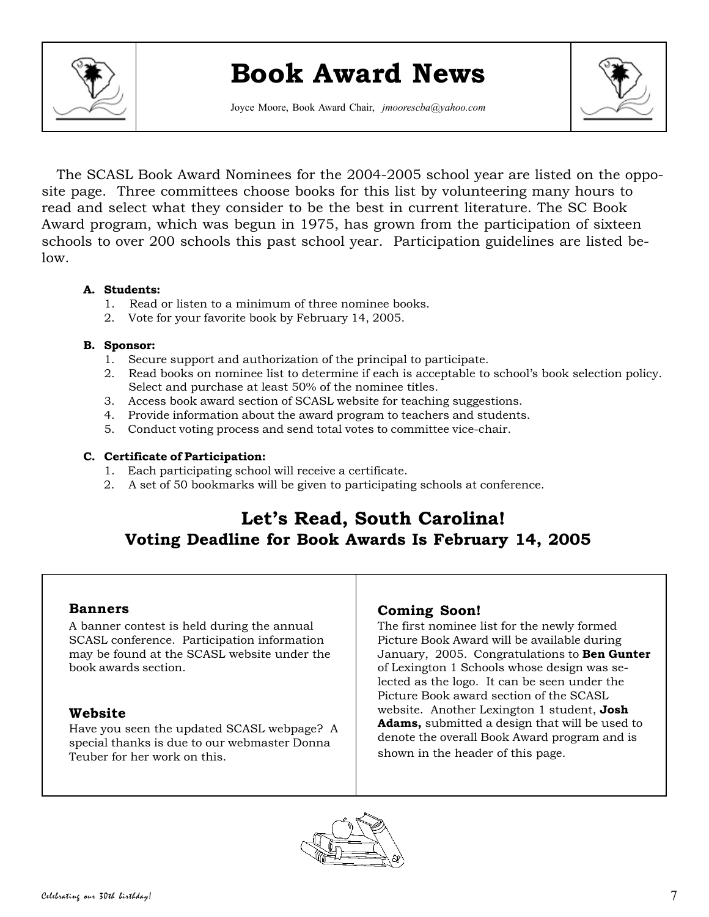

# **Book Award News**

Joyce Moore, Book Award Chair, *jmoorescba@yahoo.com*



 The SCASL Book Award Nominees for the 2004-2005 school year are listed on the opposite page. Three committees choose books for this list by volunteering many hours to read and select what they consider to be the best in current literature. The SC Book Award program, which was begun in 1975, has grown from the participation of sixteen schools to over 200 schools this past school year. Participation guidelines are listed below.

## **A. Students:**

- 1. Read or listen to a minimum of three nominee books.
- 2. Vote for your favorite book by February 14, 2005.

## **B. Sponsor:**

- 1. Secure support and authorization of the principal to participate.
- 2. Read books on nominee list to determine if each is acceptable to school's book selection policy. Select and purchase at least 50% of the nominee titles.
- 3. Access book award section of SCASL website for teaching suggestions.
- 4. Provide information about the award program to teachers and students.
- 5. Conduct voting process and send total votes to committee vice-chair.

### **C. Certificate of Participation:**

- 1. Each participating school will receive a certificate.
- 2. A set of 50 bookmarks will be given to participating schools at conference.

## **Let's Read, South Carolina! Voting Deadline for Book Awards Is February 14, 2005**

## **Banners**

A banner contest is held during the annual SCASL conference. Participation information may be found at the SCASL website under the book awards section.

## **Website**

Have you seen the updated SCASL webpage? A special thanks is due to our webmaster Donna Teuber for her work on this.

## **Coming Soon!**

The first nominee list for the newly formed Picture Book Award will be available during January, 2005. Congratulations to **Ben Gunter** of Lexington 1 Schools whose design was selected as the logo. It can be seen under the Picture Book award section of the SCASL website. Another Lexington 1 student, **Josh Adams,** submitted a design that will be used to denote the overall Book Award program and is shown in the header of this page.

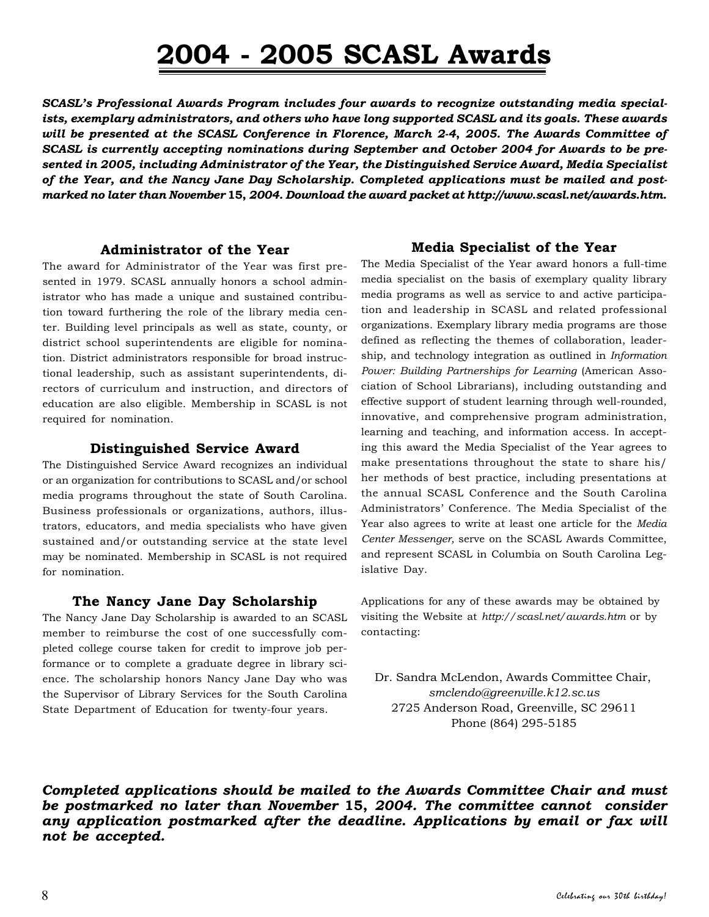# **2004 - 2005 SCASL Awards**

*SCASL's Professional Awards Program includes four awards to recognize outstanding media specialists, exemplary administrators, and others who have long supported SCASL and its goals. These awards will be presented at the SCASL Conference in Florence, March 2-4***,** *2005. The Awards Committee of SCASL is currently accepting nominations during September and October 2004 for Awards to be presented in 2005, including Administrator of the Year, the Distinguished Service Award, Media Specialist of the Year, and the Nancy Jane Day Scholarship. Completed applications must be mailed and postmarked no later than November* **15,** *2004. Download the award packet at http://www.scasl.net/awards.htm.*

### **Administrator of the Year**

The award for Administrator of the Year was first presented in 1979. SCASL annually honors a school administrator who has made a unique and sustained contribution toward furthering the role of the library media center. Building level principals as well as state, county, or district school superintendents are eligible for nomination. District administrators responsible for broad instructional leadership, such as assistant superintendents, directors of curriculum and instruction, and directors of education are also eligible. Membership in SCASL is not required for nomination.

## **Distinguished Service Award**

The Distinguished Service Award recognizes an individual or an organization for contributions to SCASL and/or school media programs throughout the state of South Carolina. Business professionals or organizations, authors, illustrators, educators, and media specialists who have given sustained and/or outstanding service at the state level may be nominated. Membership in SCASL is not required for nomination.

### **The Nancy Jane Day Scholarship**

The Nancy Jane Day Scholarship is awarded to an SCASL member to reimburse the cost of one successfully completed college course taken for credit to improve job performance or to complete a graduate degree in library science. The scholarship honors Nancy Jane Day who was the Supervisor of Library Services for the South Carolina State Department of Education for twenty-four years.

## **Media Specialist of the Year**

The Media Specialist of the Year award honors a full-time media specialist on the basis of exemplary quality library media programs as well as service to and active participation and leadership in SCASL and related professional organizations. Exemplary library media programs are those defined as reflecting the themes of collaboration, leadership, and technology integration as outlined in *Information Power: Building Partnerships for Learning* (American Association of School Librarians), including outstanding and effective support of student learning through well-rounded, innovative, and comprehensive program administration, learning and teaching, and information access. In accepting this award the Media Specialist of the Year agrees to make presentations throughout the state to share his/ her methods of best practice, including presentations at the annual SCASL Conference and the South Carolina Administrators' Conference. The Media Specialist of the Year also agrees to write at least one article for the *Media Center Messenger,* serve on the SCASL Awards Committee, and represent SCASL in Columbia on South Carolina Legislative Day.

Applications for any of these awards may be obtained by visiting the Website at *http://scasl.net/awards.htm* or by contacting:

 Dr. Sandra McLendon, Awards Committee Chair, *smclendo@greenville.k12.sc.us* 2725 Anderson Road, Greenville, SC 29611 Phone (864) 295-5185

*Completed applications should be mailed to the Awards Committee Chair and must be postmarked no later than November* **15,** *2004. The committee cannot consider any application postmarked after the deadline. Applications by email or fax will not be accepted.*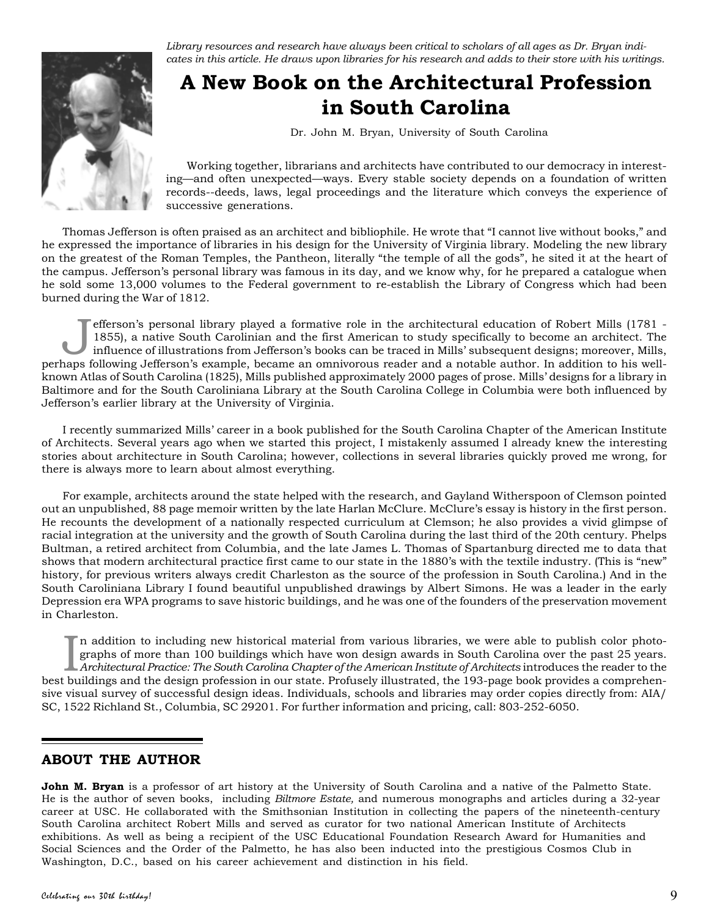

*Library resources and research have always been critical to scholars of all ages as Dr. Bryan indicates in this article. He draws upon libraries for his research and adds to their store with his writings.*

## **A New Book on the Architectural Profession in South Carolina**

Dr. John M. Bryan, University of South Carolina

Working together, librarians and architects have contributed to our democracy in interesting—and often unexpected—ways. Every stable society depends on a foundation of written records--deeds, laws, legal proceedings and the literature which conveys the experience of successive generations.

Thomas Jefferson is often praised as an architect and bibliophile. He wrote that "I cannot live without books," and he expressed the importance of libraries in his design for the University of Virginia library. Modeling the new library on the greatest of the Roman Temples, the Pantheon, literally "the temple of all the gods", he sited it at the heart of the campus. Jefferson's personal library was famous in its day, and we know why, for he prepared a catalogue when he sold some 13,000 volumes to the Federal government to re-establish the Library of Congress which had been burned during the War of 1812.

Ifferson's personal library played a formative role in the architectural education of Robert Mills (1781 - 1855), a native South Carolinian and the first American to study specifically to become an architect. The influence 1855), a native South Carolinian and the first American to study specifically to become an architect. The perhaps following Jefferson's example, became an omnivorous reader and a notable author. In addition to his wellknown Atlas of South Carolina (1825), Mills published approximately 2000 pages of prose. Mills' designs for a library in Baltimore and for the South Caroliniana Library at the South Carolina College in Columbia were both influenced by Jefferson's earlier library at the University of Virginia.

I recently summarized Mills' career in a book published for the South Carolina Chapter of the American Institute of Architects. Several years ago when we started this project, I mistakenly assumed I already knew the interesting stories about architecture in South Carolina; however, collections in several libraries quickly proved me wrong, for there is always more to learn about almost everything.

For example, architects around the state helped with the research, and Gayland Witherspoon of Clemson pointed out an unpublished, 88 page memoir written by the late Harlan McClure. McClure's essay is history in the first person. He recounts the development of a nationally respected curriculum at Clemson; he also provides a vivid glimpse of racial integration at the university and the growth of South Carolina during the last third of the 20th century. Phelps Bultman, a retired architect from Columbia, and the late James L. Thomas of Spartanburg directed me to data that shows that modern architectural practice first came to our state in the 1880's with the textile industry. (This is "new" history, for previous writers always credit Charleston as the source of the profession in South Carolina.) And in the South Caroliniana Library I found beautiful unpublished drawings by Albert Simons. He was a leader in the early Depression era WPA programs to save historic buildings, and he was one of the founders of the preservation movement in Charleston.

In addition to including new historical material from various libraries, we were able to publish color photographs of more than 100 buildings which have won design awards in South Carolina over the past 25 years.<br>Architect n addition to including new historical material from various libraries, we were able to publish color photographs of more than 100 buildings which have won design awards in South Carolina over the past 25 years. *Architectural Practice: The South Carolina Chapter of the American Institute of Architects* introduces the reader to the sive visual survey of successful design ideas. Individuals, schools and libraries may order copies directly from: AIA/ SC, 1522 Richland St., Columbia, SC 29201. For further information and pricing, call: 803-252-6050.

## **ABOUT THE AUTHOR**

**John M. Bryan** is a professor of art history at the University of South Carolina and a native of the Palmetto State. He is the author of seven books, including *Biltmore Estate,* and numerous monographs and articles during a 32-year career at USC. He collaborated with the Smithsonian Institution in collecting the papers of the nineteenth-century South Carolina architect Robert Mills and served as curator for two national American Institute of Architects exhibitions. As well as being a recipient of the USC Educational Foundation Research Award for Humanities and Social Sciences and the Order of the Palmetto, he has also been inducted into the prestigious Cosmos Club in Washington, D.C., based on his career achievement and distinction in his field.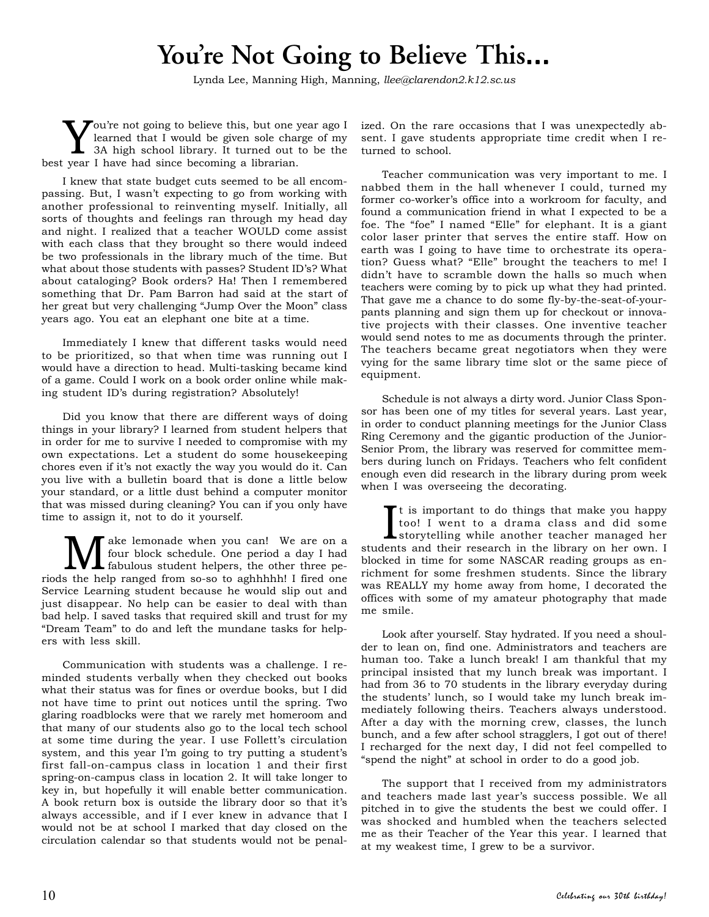# You're Not Going to Believe This...

Vou're not going to believe this, but one year ago I learned that I would be given sole charge of my 3A high school library. It turned out to be the learned that I would be given sole charge of my best year I have had since becoming a librarian.

I knew that state budget cuts seemed to be all encompassing. But, I wasn't expecting to go from working with another professional to reinventing myself. Initially, all sorts of thoughts and feelings ran through my head day and night. I realized that a teacher WOULD come assist with each class that they brought so there would indeed be two professionals in the library much of the time. But what about those students with passes? Student ID's? What about cataloging? Book orders? Ha! Then I remembered something that Dr. Pam Barron had said at the start of her great but very challenging "Jump Over the Moon" class years ago. You eat an elephant one bite at a time.

Immediately I knew that different tasks would need to be prioritized, so that when time was running out I would have a direction to head. Multi-tasking became kind of a game. Could I work on a book order online while making student ID's during registration? Absolutely!

Did you know that there are different ways of doing things in your library? I learned from student helpers that in order for me to survive I needed to compromise with my own expectations. Let a student do some housekeeping chores even if it's not exactly the way you would do it. Can you live with a bulletin board that is done a little below your standard, or a little dust behind a computer monitor that was missed during cleaning? You can if you only have time to assign it, not to do it yourself.

**M** ake lemonade when you can! We are on a four block schedule. One period a day I had fabulous student helpers, the other three pefour block schedule. One period a day I had riods the help ranged from so-so to aghhhhh! I fired one Service Learning student because he would slip out and just disappear. No help can be easier to deal with than bad help. I saved tasks that required skill and trust for my "Dream Team" to do and left the mundane tasks for helpers with less skill.

Communication with students was a challenge. I reminded students verbally when they checked out books what their status was for fines or overdue books, but I did not have time to print out notices until the spring. Two glaring roadblocks were that we rarely met homeroom and that many of our students also go to the local tech school at some time during the year. I use Follett's circulation system, and this year I'm going to try putting a student's first fall-on-campus class in location 1 and their first spring-on-campus class in location 2. It will take longer to key in, but hopefully it will enable better communication. A book return box is outside the library door so that it's always accessible, and if I ever knew in advance that I would not be at school I marked that day closed on the circulation calendar so that students would not be penalized. On the rare occasions that I was unexpectedly absent. I gave students appropriate time credit when I returned to school.

Teacher communication was very important to me. I nabbed them in the hall whenever I could, turned my former co-worker's office into a workroom for faculty, and found a communication friend in what I expected to be a foe. The "foe" I named "Elle" for elephant. It is a giant color laser printer that serves the entire staff. How on earth was I going to have time to orchestrate its operation? Guess what? "Elle" brought the teachers to me! I didn't have to scramble down the halls so much when teachers were coming by to pick up what they had printed. That gave me a chance to do some fly-by-the-seat-of-yourpants planning and sign them up for checkout or innovative projects with their classes. One inventive teacher would send notes to me as documents through the printer. The teachers became great negotiators when they were vying for the same library time slot or the same piece of equipment.

Schedule is not always a dirty word. Junior Class Sponsor has been one of my titles for several years. Last year, in order to conduct planning meetings for the Junior Class Ring Ceremony and the gigantic production of the Junior-Senior Prom, the library was reserved for committee members during lunch on Fridays. Teachers who felt confident enough even did research in the library during prom week when I was overseeing the decorating.

It is important to do things that make you happy<br>too! I went to a drama class and did some<br>storytelling while another teacher managed her<br>dents and their research in the library on her own I t is important to do things that make you happy too! I went to a drama class and did some students and their research in the library on her own. I blocked in time for some NASCAR reading groups as enrichment for some freshmen students. Since the library was REALLY my home away from home, I decorated the offices with some of my amateur photography that made me smile.

Look after yourself. Stay hydrated. If you need a shoulder to lean on, find one. Administrators and teachers are human too. Take a lunch break! I am thankful that my principal insisted that my lunch break was important. I had from 36 to 70 students in the library everyday during the students' lunch, so I would take my lunch break immediately following theirs. Teachers always understood. After a day with the morning crew, classes, the lunch bunch, and a few after school stragglers, I got out of there! I recharged for the next day, I did not feel compelled to "spend the night" at school in order to do a good job.

The support that I received from my administrators and teachers made last year's success possible. We all pitched in to give the students the best we could offer. I was shocked and humbled when the teachers selected me as their Teacher of the Year this year. I learned that at my weakest time, I grew to be a survivor.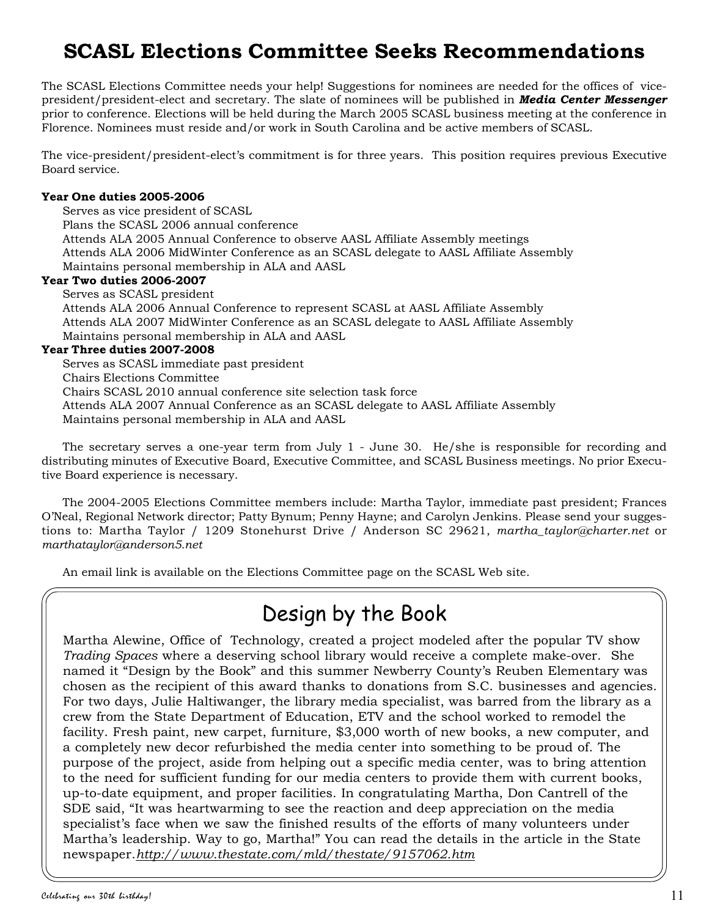## **SCASL Elections Committee Seeks Recommendations**

The SCASL Elections Committee needs your help! Suggestions for nominees are needed for the offices of vicepresident/president-elect and secretary. The slate of nominees will be published in *Media Center Messenger* prior to conference. Elections will be held during the March 2005 SCASL business meeting at the conference in Florence. Nominees must reside and/or work in South Carolina and be active members of SCASL.

The vice-president/president-elect's commitment is for three years. This position requires previous Executive Board service.

## **Year One duties 2005-2006**

Serves as vice president of SCASL Plans the SCASL 2006 annual conference Attends ALA 2005 Annual Conference to observe AASL Affiliate Assembly meetings Attends ALA 2006 MidWinter Conference as an SCASL delegate to AASL Affiliate Assembly Maintains personal membership in ALA and AASL

### **Year Two duties 2006-2007**

Serves as SCASL president Attends ALA 2006 Annual Conference to represent SCASL at AASL Affiliate Assembly Attends ALA 2007 MidWinter Conference as an SCASL delegate to AASL Affiliate Assembly Maintains personal membership in ALA and AASL

### **Year Three duties 2007-2008**

Serves as SCASL immediate past president Chairs Elections Committee Chairs SCASL 2010 annual conference site selection task force Attends ALA 2007 Annual Conference as an SCASL delegate to AASL Affiliate Assembly Maintains personal membership in ALA and AASL

The secretary serves a one-year term from July 1 - June 30. He/she is responsible for recording and distributing minutes of Executive Board, Executive Committee, and SCASL Business meetings. No prior Executive Board experience is necessary.

The 2004-2005 Elections Committee members include: Martha Taylor, immediate past president; Frances O'Neal, Regional Network director; Patty Bynum; Penny Hayne; and Carolyn Jenkins. Please send your suggestions to: Martha Taylor / 1209 Stonehurst Drive / Anderson SC 29621, *martha\_taylor@charter.net* or *marthataylor@anderson5.net*

An email link is available on the Elections Committee page on the SCASL Web site.

## Design by the Book

Martha Alewine, Office of Technology, created a project modeled after the popular TV show *Trading Spaces* where a deserving school library would receive a complete make-over. She named it "Design by the Book" and this summer Newberry County's Reuben Elementary was chosen as the recipient of this award thanks to donations from S.C. businesses and agencies. For two days, Julie Haltiwanger, the library media specialist, was barred from the library as a crew from the State Department of Education, ETV and the school worked to remodel the facility. Fresh paint, new carpet, furniture, \$3,000 worth of new books, a new computer, and a completely new decor refurbished the media center into something to be proud of. The purpose of the project, aside from helping out a specific media center, was to bring attention to the need for sufficient funding for our media centers to provide them with current books, up-to-date equipment, and proper facilities. In congratulating Martha, Don Cantrell of the SDE said, "It was heartwarming to see the reaction and deep appreciation on the media specialist's face when we saw the finished results of the efforts of many volunteers under Martha's leadership. Way to go, Martha!" You can read the details in the article in the State newspaper.*http://www.thestate.com/mld/thestate/9157062.htm*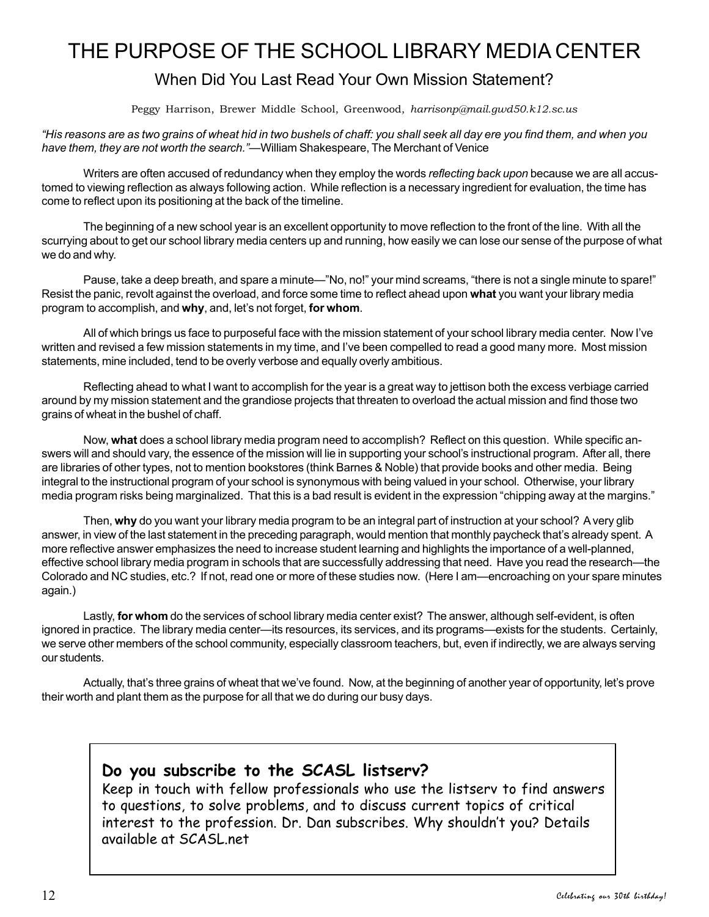## THE PURPOSE OF THE SCHOOL LIBRARY MEDIA CENTER

## When Did You Last Read Your Own Mission Statement?

Peggy Harrison, Brewer Middle School, Greenwood, *harrisonp@mail.gwd50.k12.sc.us*

*"His reasons are as two grains of wheat hid in two bushels of chaff: you shall seek all day ere you find them, and when you have them, they are not worth the search."*—William Shakespeare, The Merchant of Venice

Writers are often accused of redundancy when they employ the words *reflecting back upon* because we are all accustomed to viewing reflection as always following action. While reflection is a necessary ingredient for evaluation, the time has come to reflect upon its positioning at the back of the timeline.

The beginning of a new school year is an excellent opportunity to move reflection to the front of the line. With all the scurrying about to get our school library media centers up and running, how easily we can lose our sense of the purpose of what we do and why.

Pause, take a deep breath, and spare a minute—"No, no!" your mind screams, "there is not a single minute to spare!" Resist the panic, revolt against the overload, and force some time to reflect ahead upon **what** you want your library media program to accomplish, and **why**, and, let's not forget, **for whom**.

All of which brings us face to purposeful face with the mission statement of your school library media center. Now I've written and revised a few mission statements in my time, and I've been compelled to read a good many more. Most mission statements, mine included, tend to be overly verbose and equally overly ambitious.

Reflecting ahead to what I want to accomplish for the year is a great way to jettison both the excess verbiage carried around by my mission statement and the grandiose projects that threaten to overload the actual mission and find those two grains of wheat in the bushel of chaff.

Now, **what** does a school library media program need to accomplish? Reflect on this question. While specific answers will and should vary, the essence of the mission will lie in supporting your school's instructional program. After all, there are libraries of other types, not to mention bookstores (think Barnes & Noble) that provide books and other media. Being integral to the instructional program of your school is synonymous with being valued in your school. Otherwise, your library media program risks being marginalized. That this is a bad result is evident in the expression "chipping away at the margins."

Then, **why** do you want your library media program to be an integral part of instruction at your school? A very glib answer, in view of the last statement in the preceding paragraph, would mention that monthly paycheck that's already spent. A more reflective answer emphasizes the need to increase student learning and highlights the importance of a well-planned, effective school library media program in schools that are successfully addressing that need. Have you read the research—the Colorado and NC studies, etc.? If not, read one or more of these studies now. (Here I am—encroaching on your spare minutes again.)

Lastly, **for whom** do the services of school library media center exist? The answer, although self-evident, is often ignored in practice. The library media center—its resources, its services, and its programs—exists for the students. Certainly, we serve other members of the school community, especially classroom teachers, but, even if indirectly, we are always serving our students.

Actually, that's three grains of wheat that we've found. Now, at the beginning of another year of opportunity, let's prove their worth and plant them as the purpose for all that we do during our busy days.

## **Do you subscribe to the SCASL listserv?**

Keep in touch with fellow professionals who use the listserv to find answers to questions, to solve problems, and to discuss current topics of critical interest to the profession. Dr. Dan subscribes. Why shouldn't you? Details available at SCASL.net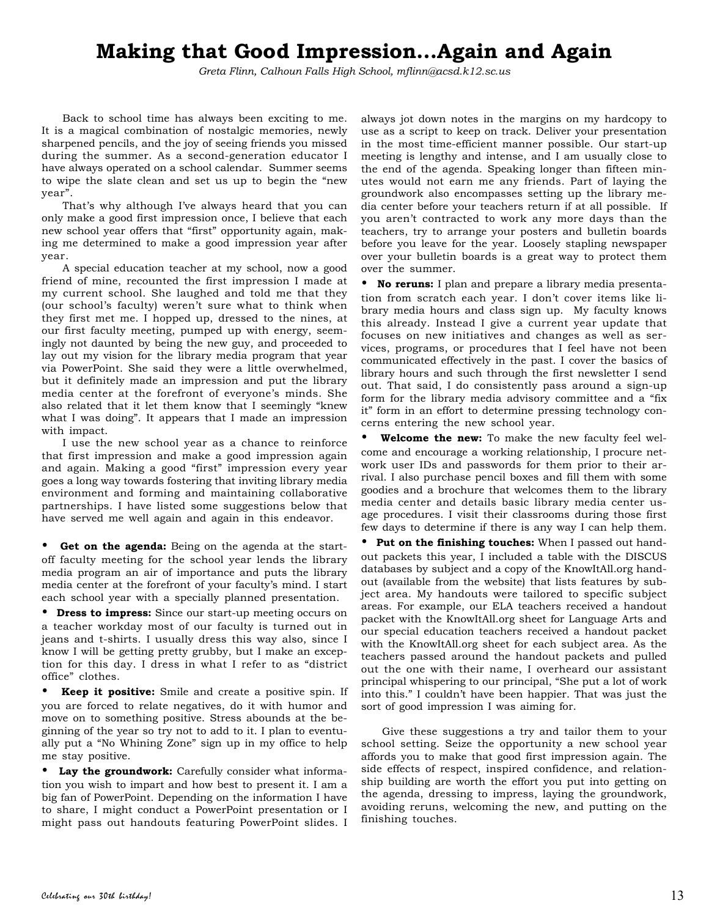## **Making that Good Impression…Again and Again**

*Greta Flinn, Calhoun Falls High School, mflinn@acsd.k12.sc.us*

Back to school time has always been exciting to me. It is a magical combination of nostalgic memories, newly sharpened pencils, and the joy of seeing friends you missed during the summer. As a second-generation educator I have always operated on a school calendar. Summer seems to wipe the slate clean and set us up to begin the "new year".

That's why although I've always heard that you can only make a good first impression once, I believe that each new school year offers that "first" opportunity again, making me determined to make a good impression year after year.

A special education teacher at my school, now a good friend of mine, recounted the first impression I made at my current school. She laughed and told me that they (our school's faculty) weren't sure what to think when they first met me. I hopped up, dressed to the nines, at our first faculty meeting, pumped up with energy, seemingly not daunted by being the new guy, and proceeded to lay out my vision for the library media program that year via PowerPoint. She said they were a little overwhelmed, but it definitely made an impression and put the library media center at the forefront of everyone's minds. She also related that it let them know that I seemingly "knew what I was doing". It appears that I made an impression with impact.

I use the new school year as a chance to reinforce that first impression and make a good impression again and again. Making a good "first" impression every year goes a long way towards fostering that inviting library media environment and forming and maintaining collaborative partnerships. I have listed some suggestions below that have served me well again and again in this endeavor.

Get on the agenda: Being on the agenda at the startoff faculty meeting for the school year lends the library media program an air of importance and puts the library media center at the forefront of your faculty's mind. I start each school year with a specially planned presentation.

• **Dress to impress:** Since our start-up meeting occurs on a teacher workday most of our faculty is turned out in jeans and t-shirts. I usually dress this way also, since I know I will be getting pretty grubby, but I make an exception for this day. I dress in what I refer to as "district office" clothes.

• **Keep it positive:** Smile and create a positive spin. If you are forced to relate negatives, do it with humor and move on to something positive. Stress abounds at the beginning of the year so try not to add to it. I plan to eventually put a "No Whining Zone" sign up in my office to help me stay positive.

• **Lay the groundwork:** Carefully consider what information you wish to impart and how best to present it. I am a big fan of PowerPoint. Depending on the information I have to share, I might conduct a PowerPoint presentation or I might pass out handouts featuring PowerPoint slides. I

always jot down notes in the margins on my hardcopy to use as a script to keep on track. Deliver your presentation in the most time-efficient manner possible. Our start-up meeting is lengthy and intense, and I am usually close to the end of the agenda. Speaking longer than fifteen minutes would not earn me any friends. Part of laying the groundwork also encompasses setting up the library media center before your teachers return if at all possible. If you aren't contracted to work any more days than the teachers, try to arrange your posters and bulletin boards before you leave for the year. Loosely stapling newspaper over your bulletin boards is a great way to protect them over the summer.

• **No reruns:** I plan and prepare a library media presentation from scratch each year. I don't cover items like library media hours and class sign up. My faculty knows this already. Instead I give a current year update that focuses on new initiatives and changes as well as services, programs, or procedures that I feel have not been communicated effectively in the past. I cover the basics of library hours and such through the first newsletter I send out. That said, I do consistently pass around a sign-up form for the library media advisory committee and a "fix it" form in an effort to determine pressing technology concerns entering the new school year.

• **Welcome the new:** To make the new faculty feel welcome and encourage a working relationship, I procure network user IDs and passwords for them prior to their arrival. I also purchase pencil boxes and fill them with some goodies and a brochure that welcomes them to the library media center and details basic library media center usage procedures. I visit their classrooms during those first few days to determine if there is any way I can help them.

• **Put on the finishing touches:** When I passed out handout packets this year, I included a table with the DISCUS databases by subject and a copy of the KnowItAll.org handout (available from the website) that lists features by subject area. My handouts were tailored to specific subject areas. For example, our ELA teachers received a handout packet with the KnowItAll.org sheet for Language Arts and our special education teachers received a handout packet with the KnowItAll.org sheet for each subject area. As the teachers passed around the handout packets and pulled out the one with their name, I overheard our assistant principal whispering to our principal, "She put a lot of work into this." I couldn't have been happier. That was just the sort of good impression I was aiming for.

Give these suggestions a try and tailor them to your school setting. Seize the opportunity a new school year affords you to make that good first impression again. The side effects of respect, inspired confidence, and relationship building are worth the effort you put into getting on the agenda, dressing to impress, laying the groundwork, avoiding reruns, welcoming the new, and putting on the finishing touches.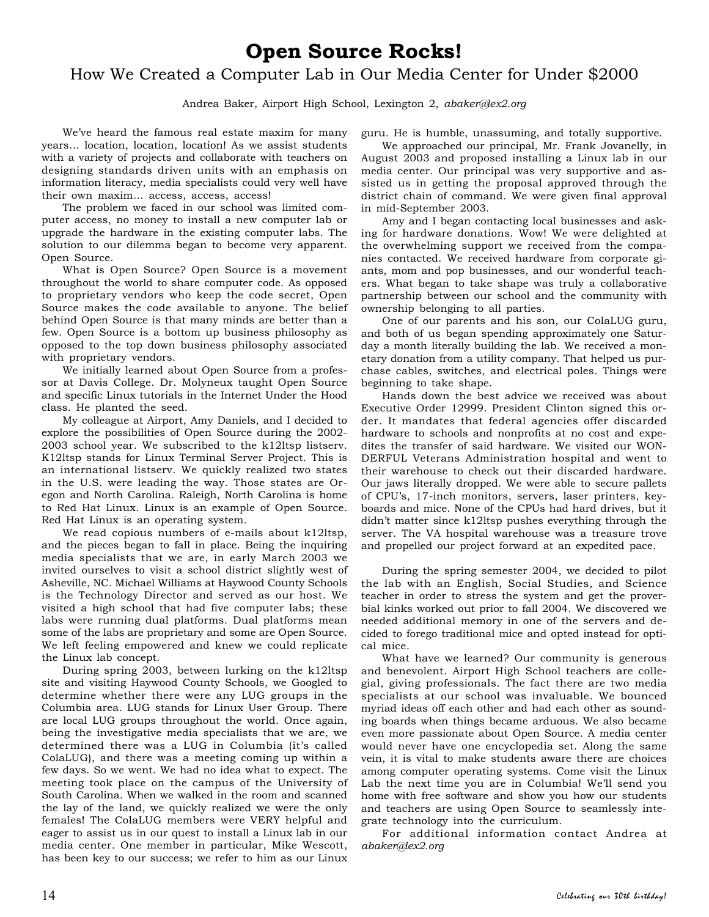## **Open Source Rocks!**

## How We Created a Computer Lab in Our Media Center for Under \$2000

Andrea Baker, Airport High School, Lexington 2, *abaker@lex2.org*

We've heard the famous real estate maxim for many years… location, location, location! As we assist students with a variety of projects and collaborate with teachers on designing standards driven units with an emphasis on information literacy, media specialists could very well have their own maxim… access, access, access!

The problem we faced in our school was limited computer access, no money to install a new computer lab or upgrade the hardware in the existing computer labs. The solution to our dilemma began to become very apparent. Open Source.

What is Open Source? Open Source is a movement throughout the world to share computer code. As opposed to proprietary vendors who keep the code secret, Open Source makes the code available to anyone. The belief behind Open Source is that many minds are better than a few. Open Source is a bottom up business philosophy as opposed to the top down business philosophy associated with proprietary vendors.

We initially learned about Open Source from a professor at Davis College. Dr. Molyneux taught Open Source and specific Linux tutorials in the Internet Under the Hood class. He planted the seed.

My colleague at Airport, Amy Daniels, and I decided to explore the possibilities of Open Source during the 2002- 2003 school year. We subscribed to the k12ltsp listserv. K12ltsp stands for Linux Terminal Server Project. This is an international listserv. We quickly realized two states in the U.S. were leading the way. Those states are Oregon and North Carolina. Raleigh, North Carolina is home to Red Hat Linux. Linux is an example of Open Source. Red Hat Linux is an operating system.

We read copious numbers of e-mails about k12ltsp, and the pieces began to fall in place. Being the inquiring media specialists that we are, in early March 2003 we invited ourselves to visit a school district slightly west of Asheville, NC. Michael Williams at Haywood County Schools is the Technology Director and served as our host. We visited a high school that had five computer labs; these labs were running dual platforms. Dual platforms mean some of the labs are proprietary and some are Open Source. We left feeling empowered and knew we could replicate the Linux lab concept.

During spring 2003, between lurking on the k12ltsp site and visiting Haywood County Schools, we Googled to determine whether there were any LUG groups in the Columbia area. LUG stands for Linux User Group. There are local LUG groups throughout the world. Once again, being the investigative media specialists that we are, we determined there was a LUG in Columbia (it's called ColaLUG), and there was a meeting coming up within a few days. So we went. We had no idea what to expect. The meeting took place on the campus of the University of South Carolina. When we walked in the room and scanned the lay of the land, we quickly realized we were the only females! The ColaLUG members were VERY helpful and eager to assist us in our quest to install a Linux lab in our media center. One member in particular, Mike Wescott, has been key to our success; we refer to him as our Linux

guru. He is humble, unassuming, and totally supportive.

We approached our principal, Mr. Frank Jovanelly, in August 2003 and proposed installing a Linux lab in our media center. Our principal was very supportive and assisted us in getting the proposal approved through the district chain of command. We were given final approval in mid-September 2003.

Amy and I began contacting local businesses and asking for hardware donations. Wow! We were delighted at the overwhelming support we received from the companies contacted. We received hardware from corporate giants, mom and pop businesses, and our wonderful teachers. What began to take shape was truly a collaborative partnership between our school and the community with ownership belonging to all parties.

One of our parents and his son, our ColaLUG guru, and both of us began spending approximately one Saturday a month literally building the lab. We received a monetary donation from a utility company. That helped us purchase cables, switches, and electrical poles. Things were beginning to take shape.

Hands down the best advice we received was about Executive Order 12999. President Clinton signed this order. It mandates that federal agencies offer discarded hardware to schools and nonprofits at no cost and expedites the transfer of said hardware. We visited our WON-DERFUL Veterans Administration hospital and went to their warehouse to check out their discarded hardware. Our jaws literally dropped. We were able to secure pallets of CPU's, 17-inch monitors, servers, laser printers, keyboards and mice. None of the CPUs had hard drives, but it didn't matter since k12ltsp pushes everything through the server. The VA hospital warehouse was a treasure trove and propelled our project forward at an expedited pace.

During the spring semester 2004, we decided to pilot the lab with an English, Social Studies, and Science teacher in order to stress the system and get the proverbial kinks worked out prior to fall 2004. We discovered we needed additional memory in one of the servers and decided to forego traditional mice and opted instead for optical mice.

What have we learned? Our community is generous and benevolent. Airport High School teachers are collegial, giving professionals. The fact there are two media specialists at our school was invaluable. We bounced myriad ideas off each other and had each other as sounding boards when things became arduous. We also became even more passionate about Open Source. A media center would never have one encyclopedia set. Along the same vein, it is vital to make students aware there are choices among computer operating systems. Come visit the Linux Lab the next time you are in Columbia! We'll send you home with free software and show you how our students and teachers are using Open Source to seamlessly integrate technology into the curriculum.

For additional information contact Andrea at *abaker@lex2.org*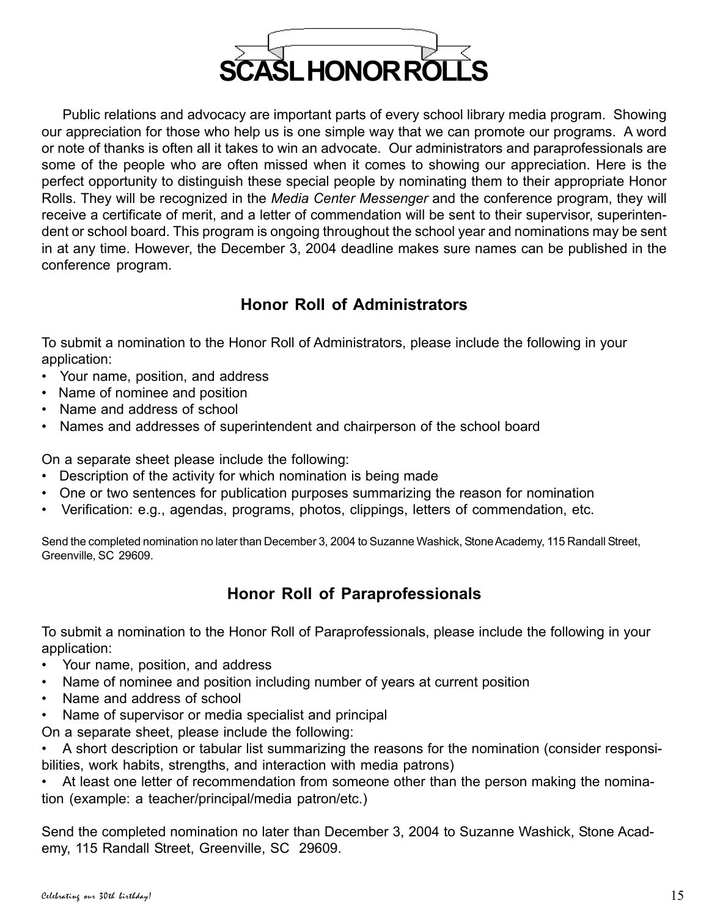

Public relations and advocacy are important parts of every school library media program. Showing our appreciation for those who help us is one simple way that we can promote our programs. A word or note of thanks is often all it takes to win an advocate. Our administrators and paraprofessionals are some of the people who are often missed when it comes to showing our appreciation. Here is the perfect opportunity to distinguish these special people by nominating them to their appropriate Honor Rolls. They will be recognized in the *Media Center Messenger* and the conference program, they will receive a certificate of merit, and a letter of commendation will be sent to their supervisor, superintendent or school board. This program is ongoing throughout the school year and nominations may be sent in at any time. However, the December 3, 2004 deadline makes sure names can be published in the conference program.

## **Honor Roll of Administrators**

To submit a nomination to the Honor Roll of Administrators, please include the following in your application:

- Your name, position, and address
- Name of nominee and position
- Name and address of school
- Names and addresses of superintendent and chairperson of the school board

On a separate sheet please include the following:

- Description of the activity for which nomination is being made
- One or two sentences for publication purposes summarizing the reason for nomination
- Verification: e.g., agendas, programs, photos, clippings, letters of commendation, etc.

Send the completed nomination no later than December 3, 2004 to Suzanne Washick, Stone Academy, 115 Randall Street, Greenville, SC 29609.

## **Honor Roll of Paraprofessionals**

To submit a nomination to the Honor Roll of Paraprofessionals, please include the following in your application:

- Your name, position, and address
- Name of nominee and position including number of years at current position
- Name and address of school
- Name of supervisor or media specialist and principal

On a separate sheet, please include the following:

• A short description or tabular list summarizing the reasons for the nomination (consider responsibilities, work habits, strengths, and interaction with media patrons)

At least one letter of recommendation from someone other than the person making the nomination (example: a teacher/principal/media patron/etc.)

Send the completed nomination no later than December 3, 2004 to Suzanne Washick, Stone Academy, 115 Randall Street, Greenville, SC 29609.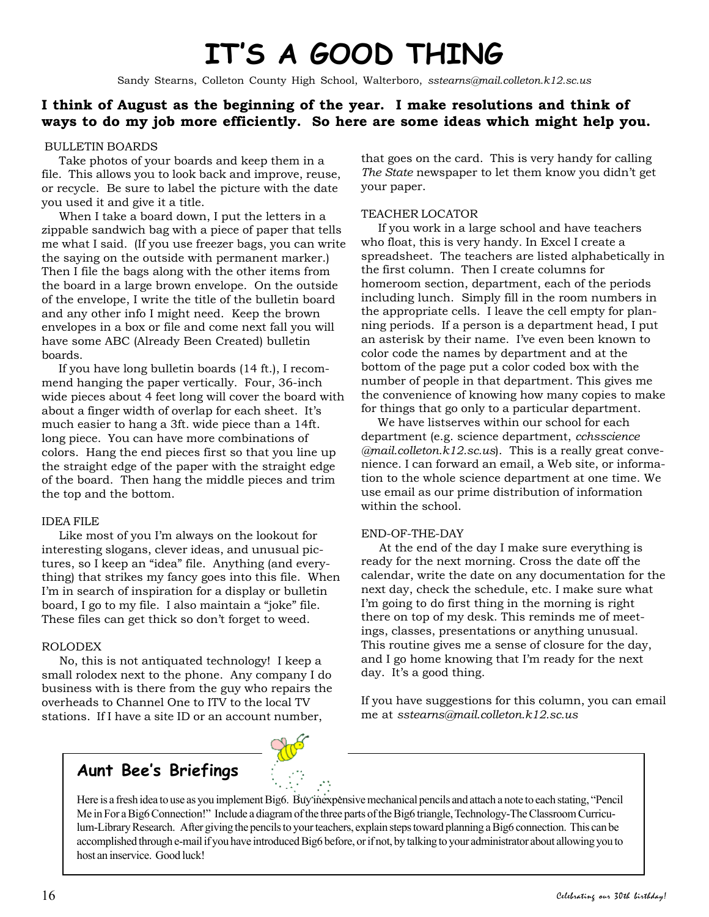# **IT'S A GOOD THING**

Sandy Stearns, Colleton County High School, Walterboro, *sstearns@mail.colleton.k12.sc.us*

## **I think of August as the beginning of the year. I make resolutions and think of ways to do my job more efficiently. So here are some ideas which might help you.**

### BULLETIN BOARDS

 Take photos of your boards and keep them in a file. This allows you to look back and improve, reuse, or recycle. Be sure to label the picture with the date you used it and give it a title.

 When I take a board down, I put the letters in a zippable sandwich bag with a piece of paper that tells me what I said. (If you use freezer bags, you can write the saying on the outside with permanent marker.) Then I file the bags along with the other items from the board in a large brown envelope. On the outside of the envelope, I write the title of the bulletin board and any other info I might need. Keep the brown envelopes in a box or file and come next fall you will have some ABC (Already Been Created) bulletin boards.

 If you have long bulletin boards (14 ft.), I recommend hanging the paper vertically. Four, 36-inch wide pieces about 4 feet long will cover the board with about a finger width of overlap for each sheet. It's much easier to hang a 3ft. wide piece than a 14ft. long piece. You can have more combinations of colors. Hang the end pieces first so that you line up the straight edge of the paper with the straight edge of the board. Then hang the middle pieces and trim the top and the bottom.

### IDEA FILE

 Like most of you I'm always on the lookout for interesting slogans, clever ideas, and unusual pictures, so I keep an "idea" file. Anything (and everything) that strikes my fancy goes into this file. When I'm in search of inspiration for a display or bulletin board, I go to my file. I also maintain a "joke" file. These files can get thick so don't forget to weed.

### ROLODEX

 No, this is not antiquated technology! I keep a small rolodex next to the phone. Any company I do business with is there from the guy who repairs the overheads to Channel One to ITV to the local TV stations. If I have a site ID or an account number,

that goes on the card. This is very handy for calling *The State* newspaper to let them know you didn't get your paper.

### TEACHER LOCATOR

 If you work in a large school and have teachers who float, this is very handy. In Excel I create a spreadsheet. The teachers are listed alphabetically in the first column. Then I create columns for homeroom section, department, each of the periods including lunch. Simply fill in the room numbers in the appropriate cells. I leave the cell empty for planning periods. If a person is a department head, I put an asterisk by their name. I've even been known to color code the names by department and at the bottom of the page put a color coded box with the number of people in that department. This gives me the convenience of knowing how many copies to make for things that go only to a particular department.

 We have listserves within our school for each department (e.g. science department, *cchsscience @mail.colleton.k12.sc.us*). This is a really great convenience. I can forward an email, a Web site, or information to the whole science department at one time. We use email as our prime distribution of information within the school.

### END-OF-THE-DAY

 At the end of the day I make sure everything is ready for the next morning. Cross the date off the calendar, write the date on any documentation for the next day, check the schedule, etc. I make sure what I'm going to do first thing in the morning is right there on top of my desk. This reminds me of meetings, classes, presentations or anything unusual. This routine gives me a sense of closure for the day, and I go home knowing that I'm ready for the next day. It's a good thing.

If you have suggestions for this column, you can email me at *sstearns@mail.colleton.k12.sc.us*

# **Aunt Bee's Briefings**

Here is a fresh idea to use as you implement Big6. Buy inexpensive mechanical pencils and attach a note to each stating, "Pencil Me in For a Big6 Connection!" Include a diagram of the three parts of the Big6 triangle, Technology-The Classroom Curriculum-Library Research. After giving the pencils to your teachers, explain steps toward planning a Big6 connection. This can be accomplished through e-mail if you have introduced Big6 before, or if not, by talking to your administrator about allowing you to host an inservice. Good luck!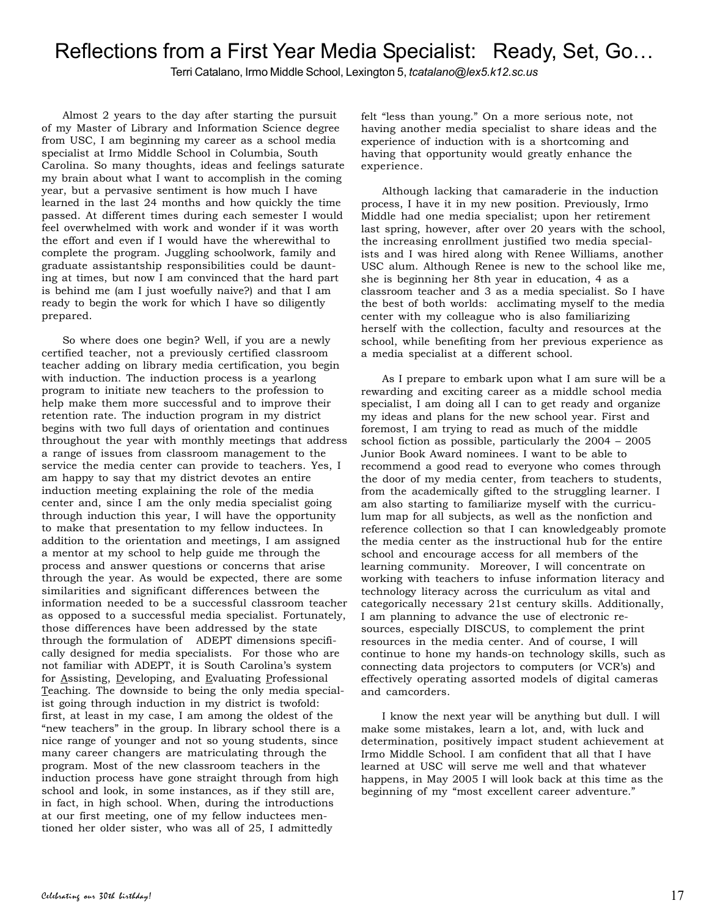## Reflections from a First Year Media Specialist: Ready, Set, Go…

Terri Catalano, Irmo Middle School, Lexington 5, *tcatalano@lex5.k12.sc.us*

Almost 2 years to the day after starting the pursuit of my Master of Library and Information Science degree from USC, I am beginning my career as a school media specialist at Irmo Middle School in Columbia, South Carolina. So many thoughts, ideas and feelings saturate my brain about what I want to accomplish in the coming year, but a pervasive sentiment is how much I have learned in the last 24 months and how quickly the time passed. At different times during each semester I would feel overwhelmed with work and wonder if it was worth the effort and even if I would have the wherewithal to complete the program. Juggling schoolwork, family and graduate assistantship responsibilities could be daunting at times, but now I am convinced that the hard part is behind me (am I just woefully naive?) and that I am ready to begin the work for which I have so diligently prepared.

So where does one begin? Well, if you are a newly certified teacher, not a previously certified classroom teacher adding on library media certification, you begin with induction. The induction process is a yearlong program to initiate new teachers to the profession to help make them more successful and to improve their retention rate. The induction program in my district begins with two full days of orientation and continues throughout the year with monthly meetings that address a range of issues from classroom management to the service the media center can provide to teachers. Yes, I am happy to say that my district devotes an entire induction meeting explaining the role of the media center and, since I am the only media specialist going through induction this year, I will have the opportunity to make that presentation to my fellow inductees. In addition to the orientation and meetings, I am assigned a mentor at my school to help guide me through the process and answer questions or concerns that arise through the year. As would be expected, there are some similarities and significant differences between the information needed to be a successful classroom teacher as opposed to a successful media specialist. Fortunately, those differences have been addressed by the state through the formulation of ADEPT dimensions specifically designed for media specialists. For those who are not familiar with ADEPT, it is South Carolina's system for Assisting, Developing, and Evaluating Professional Teaching. The downside to being the only media specialist going through induction in my district is twofold: first, at least in my case, I am among the oldest of the "new teachers" in the group. In library school there is a nice range of younger and not so young students, since many career changers are matriculating through the program. Most of the new classroom teachers in the induction process have gone straight through from high school and look, in some instances, as if they still are, in fact, in high school. When, during the introductions at our first meeting, one of my fellow inductees mentioned her older sister, who was all of 25, I admittedly

felt "less than young." On a more serious note, not having another media specialist to share ideas and the experience of induction with is a shortcoming and having that opportunity would greatly enhance the experience.

Although lacking that camaraderie in the induction process, I have it in my new position. Previously, Irmo Middle had one media specialist; upon her retirement last spring, however, after over 20 years with the school, the increasing enrollment justified two media specialists and I was hired along with Renee Williams, another USC alum. Although Renee is new to the school like me, she is beginning her 8th year in education, 4 as a classroom teacher and 3 as a media specialist. So I have the best of both worlds: acclimating myself to the media center with my colleague who is also familiarizing herself with the collection, faculty and resources at the school, while benefiting from her previous experience as a media specialist at a different school.

As I prepare to embark upon what I am sure will be a rewarding and exciting career as a middle school media specialist, I am doing all I can to get ready and organize my ideas and plans for the new school year. First and foremost, I am trying to read as much of the middle school fiction as possible, particularly the 2004 – 2005 Junior Book Award nominees. I want to be able to recommend a good read to everyone who comes through the door of my media center, from teachers to students, from the academically gifted to the struggling learner. I am also starting to familiarize myself with the curriculum map for all subjects, as well as the nonfiction and reference collection so that I can knowledgeably promote the media center as the instructional hub for the entire school and encourage access for all members of the learning community. Moreover, I will concentrate on working with teachers to infuse information literacy and technology literacy across the curriculum as vital and categorically necessary 21st century skills. Additionally, I am planning to advance the use of electronic resources, especially DISCUS, to complement the print resources in the media center. And of course, I will continue to hone my hands-on technology skills, such as connecting data projectors to computers (or VCR's) and effectively operating assorted models of digital cameras and camcorders.

I know the next year will be anything but dull. I will make some mistakes, learn a lot, and, with luck and determination, positively impact student achievement at Irmo Middle School. I am confident that all that I have learned at USC will serve me well and that whatever happens, in May 2005 I will look back at this time as the beginning of my "most excellent career adventure."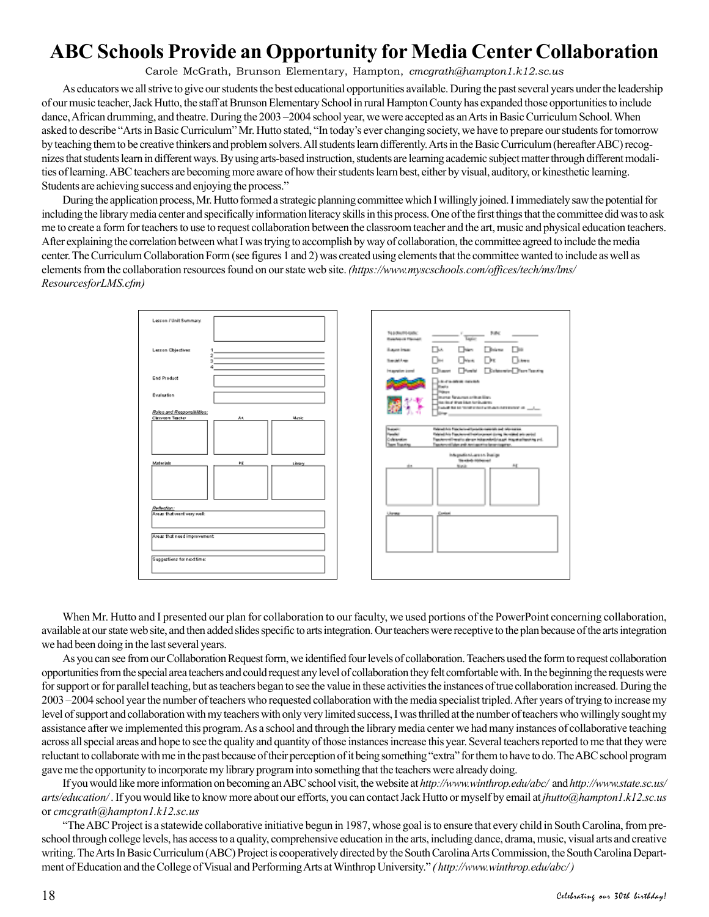## **ABC Schools Provide an Opportunity for Media Center Collaboration**

Carole McGrath, Brunson Elementary, Hampton, *cmcgrath@hampton1.k12.sc.us*

As educators we all strive to give our students the best educational opportunities available. During the past several years under the leadership of our music teacher, Jack Hutto, the staff at Brunson Elementary School in rural Hampton County has expanded those opportunities to include dance, African drumming, and theatre. During the 2003 –2004 school year, we were accepted as an Arts in Basic Curriculum School. When asked to describe "Arts in Basic Curriculum" Mr. Hutto stated, "In today's ever changing society, we have to prepare our students for tomorrow by teaching them to be creative thinkers and problem solvers. All students learn differently. Arts in the Basic Curriculum (hereafter ABC) recognizes that students learn in different ways. By using arts-based instruction, students are learning academic subject matter through different modalities of learning. ABC teachers are becoming more aware of how their students learn best, either by visual, auditory, or kinesthetic learning. Students are achieving success and enjoying the process."

During the application process, Mr. Hutto formed a strategic planning committee which I willingly joined. I immediately saw the potential for including the library media center and specifically information literacy skills in this process. One of the first things that the committee did was to ask me to create a form for teachers to use to request collaboration between the classroom teacher and the art, music and physical education teachers. After explaining the correlation between what I was trying to accomplish by way of collaboration, the committee agreed to include the media center. The Curriculum Collaboration Form (see figures 1 and 2) was created using elements that the committee wanted to include as well as elements from the collaboration resources found on our state web site. *(https://www.myscschools.com/offices/tech/ms/lms/ ResourcesforLMS.cfm)*



When Mr. Hutto and I presented our plan for collaboration to our faculty, we used portions of the PowerPoint concerning collaboration, available at our state web site, and then added slides specific to arts integration. Our teachers were receptive to the plan because of the arts integration we had been doing in the last several years.

As you can see from our Collaboration Request form, we identified four levels of collaboration. Teachers used the form to request collaboration opportunities from the special area teachers and could request any level of collaboration they felt comfortable with. In the beginning the requests were for support or for parallel teaching, but as teachers began to see the value in these activities the instances of true collaboration increased. During the 2003 –2004 school year the number of teachers who requested collaboration with the media specialist tripled. After years of trying to increase my level of support and collaboration with my teachers with only very limited success, I was thrilled at the number of teachers who willingly sought my assistance after we implemented this program. As a school and through the library media center we had many instances of collaborative teaching across all special areas and hope to see the quality and quantity of those instances increase this year. Several teachers reported to me that they were reluctant to collaborate with me in the past because of their perception of it being something "extra" for them to have to do. The ABC school program gave me the opportunity to incorporate my library program into something that the teachers were already doing.

If you would like more information on becoming an ABC school visit, the website at *http://www.winthrop.edu/abc/* and *http://www.state.sc.us/ arts/education/* . If you would like to know more about our efforts, you can contact Jack Hutto or myself by email at *jhutto@hampton1.k12.sc.us* or *cmcgrath@hampton1.k12.sc.us*

"The ABC Project is a statewide collaborative initiative begun in 1987, whose goal is to ensure that every child in South Carolina, from preschool through college levels, has access to a quality, comprehensive education in the arts, including dance, drama, music, visual arts and creative writing. The Arts In Basic Curriculum (ABC) Project is cooperatively directed by the South Carolina Arts Commission, the South Carolina Department of Education and the College of Visual and Performing Arts at Winthrop University." *( http://www.winthrop.edu/abc/ )*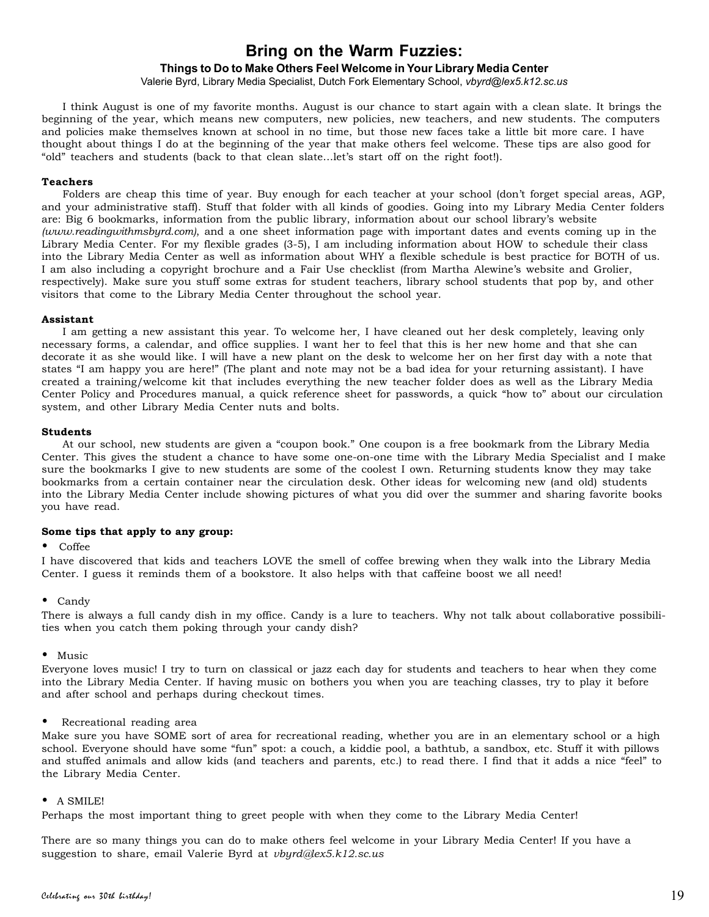## **Bring on the Warm Fuzzies:**

### **Things to Do to Make Others Feel Welcome in Your Library Media Center**

Valerie Byrd, Library Media Specialist, Dutch Fork Elementary School, *vbyrd@lex5.k12.sc.us*

I think August is one of my favorite months. August is our chance to start again with a clean slate. It brings the beginning of the year, which means new computers, new policies, new teachers, and new students. The computers and policies make themselves known at school in no time, but those new faces take a little bit more care. I have thought about things I do at the beginning of the year that make others feel welcome. These tips are also good for "old" teachers and students (back to that clean slate…let's start off on the right foot!).

### **Teachers**

Folders are cheap this time of year. Buy enough for each teacher at your school (don't forget special areas, AGP, and your administrative staff). Stuff that folder with all kinds of goodies. Going into my Library Media Center folders are: Big 6 bookmarks, information from the public library, information about our school library's website *(www.readingwithmsbyrd.com)*, and a one sheet information page with important dates and events coming up in the Library Media Center. For my flexible grades (3-5), I am including information about HOW to schedule their class into the Library Media Center as well as information about WHY a flexible schedule is best practice for BOTH of us. I am also including a copyright brochure and a Fair Use checklist (from Martha Alewine's website and Grolier, respectively). Make sure you stuff some extras for student teachers, library school students that pop by, and other visitors that come to the Library Media Center throughout the school year.

### **Assistant**

I am getting a new assistant this year. To welcome her, I have cleaned out her desk completely, leaving only necessary forms, a calendar, and office supplies. I want her to feel that this is her new home and that she can decorate it as she would like. I will have a new plant on the desk to welcome her on her first day with a note that states "I am happy you are here!" (The plant and note may not be a bad idea for your returning assistant). I have created a training/welcome kit that includes everything the new teacher folder does as well as the Library Media Center Policy and Procedures manual, a quick reference sheet for passwords, a quick "how to" about our circulation system, and other Library Media Center nuts and bolts.

### **Students**

At our school, new students are given a "coupon book." One coupon is a free bookmark from the Library Media Center. This gives the student a chance to have some one-on-one time with the Library Media Specialist and I make sure the bookmarks I give to new students are some of the coolest I own. Returning students know they may take bookmarks from a certain container near the circulation desk. Other ideas for welcoming new (and old) students into the Library Media Center include showing pictures of what you did over the summer and sharing favorite books you have read.

### **Some tips that apply to any group:**

### • Coffee

I have discovered that kids and teachers LOVE the smell of coffee brewing when they walk into the Library Media Center. I guess it reminds them of a bookstore. It also helps with that caffeine boost we all need!

### • Candy

There is always a full candy dish in my office. Candy is a lure to teachers. Why not talk about collaborative possibilities when you catch them poking through your candy dish?

#### • Music

Everyone loves music! I try to turn on classical or jazz each day for students and teachers to hear when they come into the Library Media Center. If having music on bothers you when you are teaching classes, try to play it before and after school and perhaps during checkout times.

### • Recreational reading area

Make sure you have SOME sort of area for recreational reading, whether you are in an elementary school or a high school. Everyone should have some "fun" spot: a couch, a kiddie pool, a bathtub, a sandbox, etc. Stuff it with pillows and stuffed animals and allow kids (and teachers and parents, etc.) to read there. I find that it adds a nice "feel" to the Library Media Center.

### • A SMILE!

Perhaps the most important thing to greet people with when they come to the Library Media Center!

There are so many things you can do to make others feel welcome in your Library Media Center! If you have a suggestion to share, email Valerie Byrd at *vbyrd@lex5.k12.sc.us*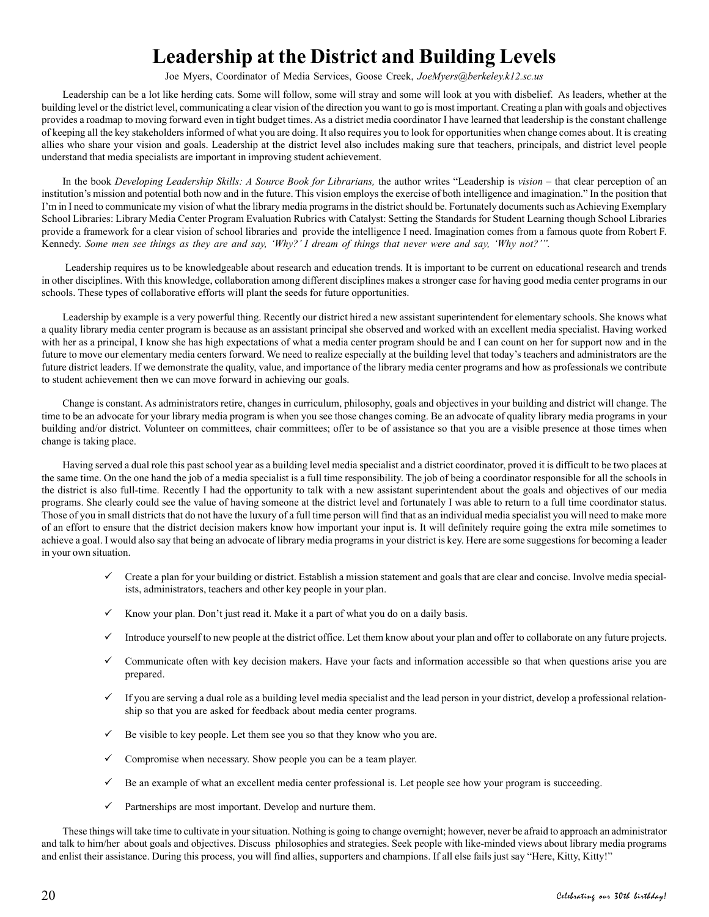## **Leadership at the District and Building Levels**

Joe Myers, Coordinator of Media Services, Goose Creek, *JoeMyers@berkeley.k12.sc.us*

Leadership can be a lot like herding cats. Some will follow, some will stray and some will look at you with disbelief. As leaders, whether at the building level or the district level, communicating a clear vision of the direction you want to go is most important. Creating a plan with goals and objectives provides a roadmap to moving forward even in tight budget times. As a district media coordinator I have learned that leadership is the constant challenge of keeping all the key stakeholders informed of what you are doing. It also requires you to look for opportunities when change comes about. It is creating allies who share your vision and goals. Leadership at the district level also includes making sure that teachers, principals, and district level people understand that media specialists are important in improving student achievement.

In the book *Developing Leadership Skills: A Source Book for Librarians,* the author writes "Leadership is *vision* – that clear perception of an institution's mission and potential both now and in the future. This vision employs the exercise of both intelligence and imagination." In the position that I'm in I need to communicate my vision of what the library media programs in the district should be. Fortunately documents such as Achieving Exemplary School Libraries: Library Media Center Program Evaluation Rubrics with Catalyst: Setting the Standards for Student Learning though School Libraries provide a framework for a clear vision of school libraries and provide the intelligence I need. Imagination comes from a famous quote from Robert F. Kennedy. *Some men see things as they are and say, 'Why?' I dream of things that never were and say, 'Why not?'".*

Leadership requires us to be knowledgeable about research and education trends. It is important to be current on educational research and trends in other disciplines. With this knowledge, collaboration among different disciplines makes a stronger case for having good media center programs in our schools. These types of collaborative efforts will plant the seeds for future opportunities.

Leadership by example is a very powerful thing. Recently our district hired a new assistant superintendent for elementary schools. She knows what a quality library media center program is because as an assistant principal she observed and worked with an excellent media specialist. Having worked with her as a principal, I know she has high expectations of what a media center program should be and I can count on her for support now and in the future to move our elementary media centers forward. We need to realize especially at the building level that today's teachers and administrators are the future district leaders. If we demonstrate the quality, value, and importance of the library media center programs and how as professionals we contribute to student achievement then we can move forward in achieving our goals.

Change is constant. As administrators retire, changes in curriculum, philosophy, goals and objectives in your building and district will change. The time to be an advocate for your library media program is when you see those changes coming. Be an advocate of quality library media programs in your building and/or district. Volunteer on committees, chair committees; offer to be of assistance so that you are a visible presence at those times when change is taking place.

Having served a dual role this past school year as a building level media specialist and a district coordinator, proved it is difficult to be two places at the same time. On the one hand the job of a media specialist is a full time responsibility. The job of being a coordinator responsible for all the schools in the district is also full-time. Recently I had the opportunity to talk with a new assistant superintendent about the goals and objectives of our media programs. She clearly could see the value of having someone at the district level and fortunately I was able to return to a full time coordinator status. Those of you in small districts that do not have the luxury of a full time person will find that as an individual media specialist you will need to make more of an effort to ensure that the district decision makers know how important your input is. It will definitely require going the extra mile sometimes to achieve a goal. I would also say that being an advocate of library media programs in your district is key. Here are some suggestions for becoming a leader in your own situation.

- $\checkmark$  Create a plan for your building or district. Establish a mission statement and goals that are clear and concise. Involve media specialists, administrators, teachers and other key people in your plan.
- $\checkmark$  Know your plan. Don't just read it. Make it a part of what you do on a daily basis.
- $\checkmark$  Introduce yourself to new people at the district office. Let them know about your plan and offer to collaborate on any future projects.
- $\checkmark$  Communicate often with key decision makers. Have your facts and information accessible so that when questions arise you are prepared.
- $\checkmark$  If you are serving a dual role as a building level media specialist and the lead person in your district, develop a professional relationship so that you are asked for feedback about media center programs.
- $\checkmark$  Be visible to key people. Let them see you so that they know who you are.
- $\checkmark$  Compromise when necessary. Show people you can be a team player.
- $\checkmark$  Be an example of what an excellent media center professional is. Let people see how your program is succeeding.
- $\checkmark$  Partnerships are most important. Develop and nurture them.

These things will take time to cultivate in your situation. Nothing is going to change overnight; however, never be afraid to approach an administrator and talk to him/her about goals and objectives. Discuss philosophies and strategies. Seek people with like-minded views about library media programs and enlist their assistance. During this process, you will find allies, supporters and champions. If all else fails just say "Here, Kitty, Kitty!"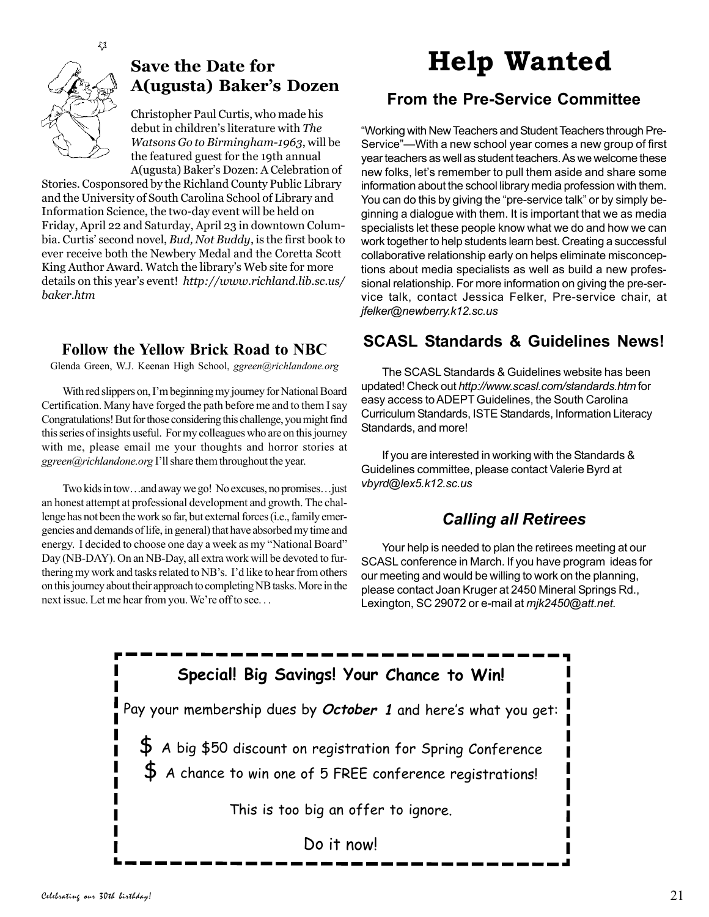

## **Save the Date for A(ugusta) Baker's Dozen**

Christopher Paul Curtis, who made his debut in children's literature with *The Watsons Go to Birmingham-1963*, will be the featured guest for the 19th annual A(ugusta) Baker's Dozen: A Celebration of

Stories. Cosponsored by the Richland County Public Library and the University of South Carolina School of Library and Information Science, the two-day event will be held on Friday, April 22 and Saturday, April 23 in downtown Columbia. Curtis' second novel, *Bud, Not Buddy*, is the first book to ever receive both the Newbery Medal and the Coretta Scott King Author Award. Watch the library's Web site for more details on this year's event! *http://www.richland.lib.sc.us/ baker.htm*

## **Follow the Yellow Brick Road to NBC**

Glenda Green, W.J. Keenan High School, *ggreen@richlandone.org*

With red slippers on, I'm beginning my journey for National Board Certification. Many have forged the path before me and to them I say Congratulations! But for those considering this challenge, you might find this series of insights useful. For my colleagues who are on this journey with me, please email me your thoughts and horror stories at *ggreen@richlandone.org* I'll share them throughout the year.

Two kids in tow…and away we go! No excuses, no promises…just an honest attempt at professional development and growth. The challenge has not been the work so far, but external forces (i.e., family emergencies and demands of life, in general) that have absorbed my time and energy. I decided to choose one day a week as my "National Board" Day (NB-DAY). On an NB-Day, all extra work will be devoted to furthering my work and tasks related to NB's. I'd like to hear from others on this journey about their approach to completing NB tasks. More in the next issue. Let me hear from you. We're off to see. . .

# **Help Wanted**

## **From the Pre-Service Committee**

"Working with New Teachers and Student Teachers through Pre-Service"—With a new school year comes a new group of first year teachers as well as student teachers. As we welcome these new folks, let's remember to pull them aside and share some information about the school library media profession with them. You can do this by giving the "pre-service talk" or by simply beginning a dialogue with them. It is important that we as media specialists let these people know what we do and how we can work together to help students learn best. Creating a successful collaborative relationship early on helps eliminate misconceptions about media specialists as well as build a new professional relationship. For more information on giving the pre-service talk, contact Jessica Felker, Pre-service chair, at *jfelker@newberry.k12.sc.us*

## **SCASL Standards & Guidelines News!**

The SCASL Standards & Guidelines website has been updated! Check out *http://www.scasl.com/standards.htm* for easy access to ADEPT Guidelines, the South Carolina Curriculum Standards, ISTE Standards, Information Literacy Standards, and more!

If you are interested in working with the Standards & Guidelines committee, please contact Valerie Byrd at *vbyrd@lex5.k12.sc.us*

## *Calling all Retirees*

Your help is needed to plan the retirees meeting at our SCASL conference in March. If you have program ideas for our meeting and would be willing to work on the planning, please contact Joan Kruger at 2450 Mineral Springs Rd., Lexington, SC 29072 or e-mail at *mjk2450@att.net.*

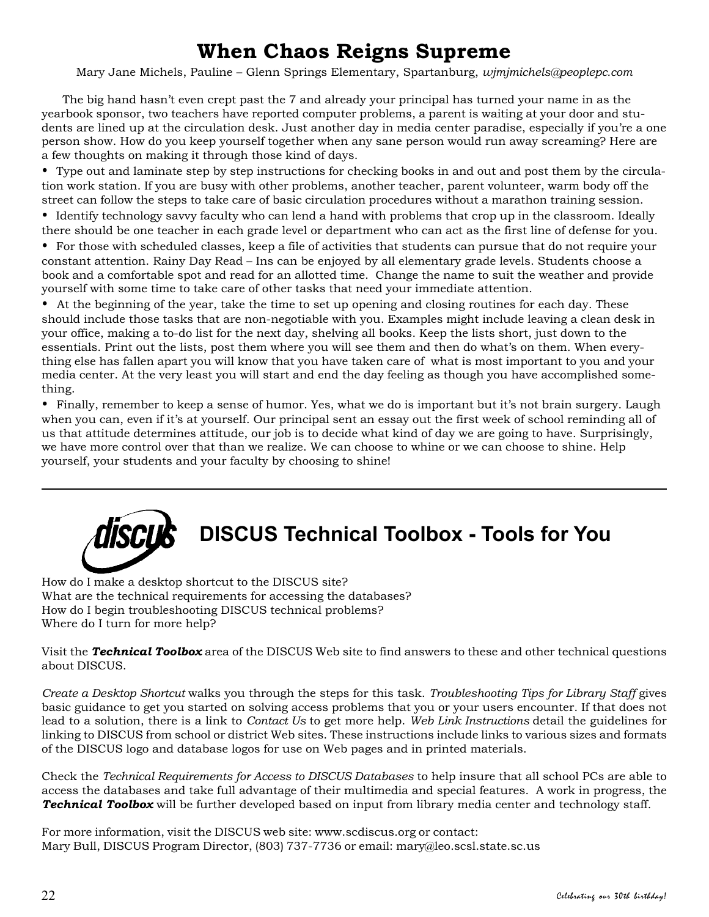## **When Chaos Reigns Supreme**

Mary Jane Michels, Pauline – Glenn Springs Elementary, Spartanburg, *wjmjmichels@peoplepc.com*

The big hand hasn't even crept past the 7 and already your principal has turned your name in as the yearbook sponsor, two teachers have reported computer problems, a parent is waiting at your door and students are lined up at the circulation desk. Just another day in media center paradise, especially if you're a one person show. How do you keep yourself together when any sane person would run away screaming? Here are a few thoughts on making it through those kind of days.

• Type out and laminate step by step instructions for checking books in and out and post them by the circulation work station. If you are busy with other problems, another teacher, parent volunteer, warm body off the street can follow the steps to take care of basic circulation procedures without a marathon training session.

• Identify technology savvy faculty who can lend a hand with problems that crop up in the classroom. Ideally there should be one teacher in each grade level or department who can act as the first line of defense for you.

• For those with scheduled classes, keep a file of activities that students can pursue that do not require your constant attention. Rainy Day Read – Ins can be enjoyed by all elementary grade levels. Students choose a book and a comfortable spot and read for an allotted time. Change the name to suit the weather and provide yourself with some time to take care of other tasks that need your immediate attention.

• At the beginning of the year, take the time to set up opening and closing routines for each day. These should include those tasks that are non-negotiable with you. Examples might include leaving a clean desk in your office, making a to-do list for the next day, shelving all books. Keep the lists short, just down to the essentials. Print out the lists, post them where you will see them and then do what's on them. When everything else has fallen apart you will know that you have taken care of what is most important to you and your media center. At the very least you will start and end the day feeling as though you have accomplished something.

• Finally, remember to keep a sense of humor. Yes, what we do is important but it's not brain surgery. Laugh when you can, even if it's at yourself. Our principal sent an essay out the first week of school reminding all of us that attitude determines attitude, our job is to decide what kind of day we are going to have. Surprisingly, we have more control over that than we realize. We can choose to whine or we can choose to shine. Help yourself, your students and your faculty by choosing to shine!



How do I make a desktop shortcut to the DISCUS site? What are the technical requirements for accessing the databases? How do I begin troubleshooting DISCUS technical problems? Where do I turn for more help?

Visit the *Technical Toolbox* area of the DISCUS Web site to find answers to these and other technical questions about DISCUS.

*Create a Desktop Shortcut* walks you through the steps for this task. *Troubleshooting Tips for Library Staff* gives basic guidance to get you started on solving access problems that you or your users encounter. If that does not lead to a solution, there is a link to *Contact Us* to get more help. *Web Link Instructions* detail the guidelines for linking to DISCUS from school or district Web sites. These instructions include links to various sizes and formats of the DISCUS logo and database logos for use on Web pages and in printed materials.

Check the *Technical Requirements for Access to DISCUS Databases* to help insure that all school PCs are able to access the databases and take full advantage of their multimedia and special features. A work in progress, the *Technical Toolbox* will be further developed based on input from library media center and technology staff.

For more information, visit the DISCUS web site: www.scdiscus.org or contact: Mary Bull, DISCUS Program Director, (803) 737-7736 or email: mary@leo.scsl.state.sc.us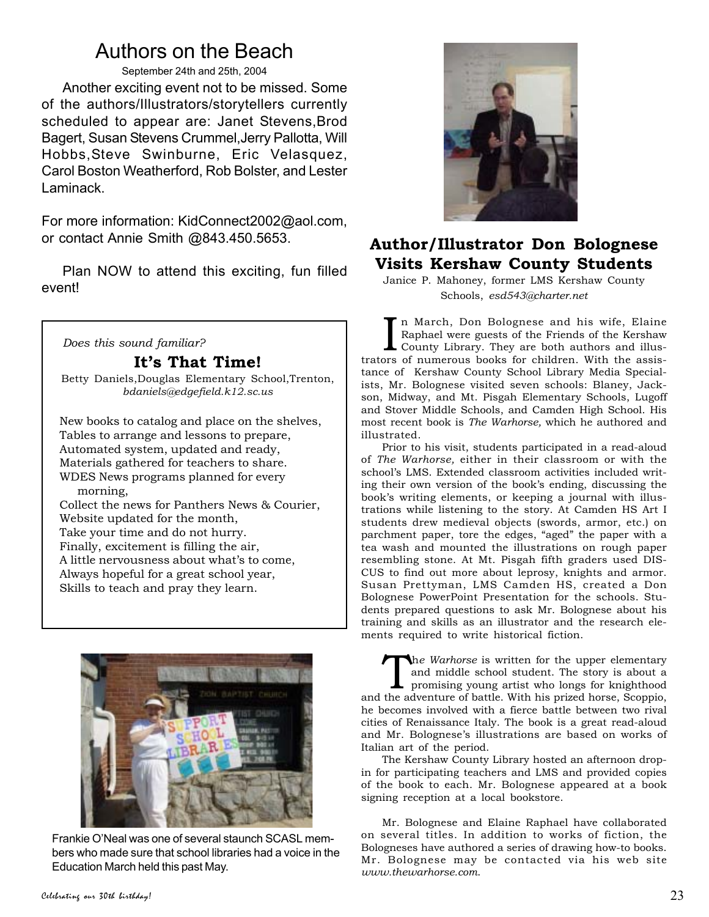## Authors on the Beach

September 24th and 25th, 2004

Another exciting event not to be missed. Some of the authors/Illustrators/storytellers currently scheduled to appear are: Janet Stevens,Brod Bagert, Susan Stevens Crummel,Jerry Pallotta, Will Hobbs,Steve Swinburne, Eric Velasquez, Carol Boston Weatherford, Rob Bolster, and Lester Laminack.

For more information: KidConnect2002@aol.com, or contact Annie Smith @843.450.5653.

Plan NOW to attend this exciting, fun filled event!

*Does this sound familiar?*

## **It's That Time!**

Betty Daniels,Douglas Elementary School,Trenton, *bdaniels@edgefield.k12.sc.us*

New books to catalog and place on the shelves, Tables to arrange and lessons to prepare, Automated system, updated and ready, Materials gathered for teachers to share. WDES News programs planned for every morning, Collect the news for Panthers News & Courier, Website updated for the month, Take your time and do not hurry. Finally, excitement is filling the air, A little nervousness about what's to come,

Always hopeful for a great school year, Skills to teach and pray they learn.



Frankie O'Neal was one of several staunch SCASL members who made sure that school libraries had a voice in the Education March held this past May.



## **Author/Illustrator Don Bolognese Visits Kershaw County Students**

Janice P. Mahoney, former LMS Kershaw County Schools, *esd543@charter.net*

In March, Don Bolognese and his wife, Elaine<br>Raphael were guests of the Friends of the Kershaw<br>County Library. They are both authors and illus-<br>trators of numerous books for children. With the assisn March, Don Bolognese and his wife, Elaine Raphael were guests of the Friends of the Kershaw County Library. They are both authors and illustance of Kershaw County School Library Media Specialists, Mr. Bolognese visited seven schools: Blaney, Jackson, Midway, and Mt. Pisgah Elementary Schools, Lugoff and Stover Middle Schools, and Camden High School. His most recent book is *The Warhorse,* which he authored and illustrated.

Prior to his visit, students participated in a read-aloud of *The Warhorse,* either in their classroom or with the school's LMS. Extended classroom activities included writing their own version of the book's ending, discussing the book's writing elements, or keeping a journal with illustrations while listening to the story. At Camden HS Art I students drew medieval objects (swords, armor, etc.) on parchment paper, tore the edges, "aged" the paper with a tea wash and mounted the illustrations on rough paper resembling stone. At Mt. Pisgah fifth graders used DIS-CUS to find out more about leprosy, knights and armor. Susan Prettyman, LMS Camden HS, created a Don Bolognese PowerPoint Presentation for the schools. Students prepared questions to ask Mr. Bolognese about his training and skills as an illustrator and the research elements required to write historical fiction.

The Warhorse is written for the upper elementary<br>
and middle school student. The story is about a<br>
promising young artist who longs for knighthood<br>
the odventure of battle With his prized borse Scoppio and middle school student. The story is about a and the adventure of battle. With his prized horse, Scoppio, he becomes involved with a fierce battle between two rival cities of Renaissance Italy. The book is a great read-aloud and Mr. Bolognese's illustrations are based on works of Italian art of the period.

The Kershaw County Library hosted an afternoon dropin for participating teachers and LMS and provided copies of the book to each. Mr. Bolognese appeared at a book signing reception at a local bookstore.

Mr. Bolognese and Elaine Raphael have collaborated on several titles. In addition to works of fiction, the Bologneses have authored a series of drawing how-to books. Mr. Bolognese may be contacted via his web site *www.thewarhorse.com*.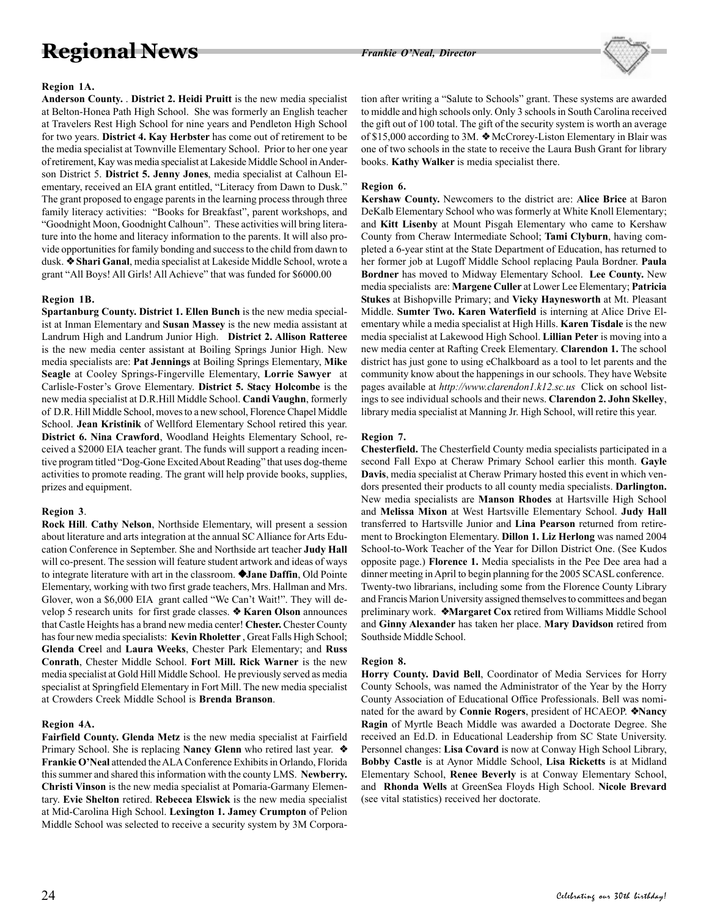## **Regional News** *Frankie O'Neal, Director*



### **Region 1A.**

**Anderson County.** . **District 2. Heidi Pruitt** is the new media specialist at Belton-Honea Path High School. She was formerly an English teacher at Travelers Rest High School for nine years and Pendleton High School for two years. **District 4. Kay Herbster** has come out of retirement to be the media specialist at Townville Elementary School. Prior to her one year of retirement, Kay was media specialist at Lakeside Middle School in Anderson District 5. **District 5. Jenny Jones**, media specialist at Calhoun Elementary, received an EIA grant entitled, "Literacy from Dawn to Dusk." The grant proposed to engage parents in the learning process through three family literacy activities: "Books for Breakfast", parent workshops, and "Goodnight Moon, Goodnight Calhoun". These activities will bring literature into the home and literacy information to the parents. It will also provide opportunities for family bonding and success to the child from dawn to dusk. ❖ **Shari Ganal**, media specialist at Lakeside Middle School, wrote a grant "All Boys! All Girls! All Achieve" that was funded for \$6000.00

### **Region 1B.**

**Spartanburg County. District 1. Ellen Bunch** is the new media specialist at Inman Elementary and **Susan Massey** is the new media assistant at Landrum High and Landrum Junior High. **District 2. Allison Ratteree** is the new media center assistant at Boiling Springs Junior High. New media specialists are: **Pat Jennings** at Boiling Springs Elementary, **Mike Seagle** at Cooley Springs-Fingerville Elementary, **Lorrie Sawyer** at Carlisle-Foster's Grove Elementary. **District 5. Stacy Holcombe** is the new media specialist at D.R.Hill Middle School. **Candi Vaughn**, formerly of D.R. Hill Middle School, moves to a new school, Florence Chapel Middle School. **Jean Kristinik** of Wellford Elementary School retired this year. **District 6. Nina Crawford**, Woodland Heights Elementary School, received a \$2000 EIA teacher grant. The funds will support a reading incentive program titled "Dog-Gone Excited About Reading" that uses dog-theme activities to promote reading. The grant will help provide books, supplies, prizes and equipment.

### **Region 3**.

**Rock Hill**. **Cathy Nelson**, Northside Elementary, will present a session about literature and arts integration at the annual SC Alliance for Arts Education Conference in September. She and Northside art teacher **Judy Hall** will co-present. The session will feature student artwork and ideas of ways to integrate literature with art in the classroom. ❖**Jane Daffin**, Old Pointe Elementary, working with two first grade teachers, Mrs. Hallman and Mrs. Glover, won a \$6,000 EIA grant called "We Can't Wait!". They will develop 5 research units for first grade classes. ❖ **Karen Olson** announces that Castle Heights has a brand new media center! **Chester.** Chester County has four new media specialists: **Kevin Rholetter** , Great Falls High School; **Glenda Cree**l and **Laura Weeks**, Chester Park Elementary; and **Russ Conrath**, Chester Middle School. **Fort Mill. Rick Warner** is the new media specialist at Gold Hill Middle School. He previously served as media specialist at Springfield Elementary in Fort Mill. The new media specialist at Crowders Creek Middle School is **Brenda Branson**.

### **Region 4A.**

**Fairfield County. Glenda Metz** is the new media specialist at Fairfield Primary School. She is replacing **Nancy Glenn** who retired last year. ❖ **Frankie O'Neal** attended the ALA Conference Exhibits in Orlando, Florida this summer and shared this information with the county LMS. **Newberry. Christi Vinson** is the new media specialist at Pomaria-Garmany Elementary. **Evie Shelton** retired. **Rebecca Elswick** is the new media specialist at Mid-Carolina High School. **Lexington 1. Jamey Crumpton** of Pelion Middle School was selected to receive a security system by 3M Corporation after writing a "Salute to Schools" grant. These systems are awarded to middle and high schools only. Only 3 schools in South Carolina received the gift out of 100 total. The gift of the security system is worth an average of \$15,000 according to 3M. ❖ McCrorey-Liston Elementary in Blair was one of two schools in the state to receive the Laura Bush Grant for library books. **Kathy Walker** is media specialist there.

### **Region 6.**

**Kershaw County.** Newcomers to the district are: **Alice Brice** at Baron DeKalb Elementary School who was formerly at White Knoll Elementary; and **Kitt Lisenby** at Mount Pisgah Elementary who came to Kershaw County from Cheraw Intermediate School; **Tami Clyburn**, having completed a 6-year stint at the State Department of Education, has returned to her former job at Lugoff Middle School replacing Paula Bordner. **Paula Bordner** has moved to Midway Elementary School. **Lee County.** New media specialists are: **Margene Culler** at Lower Lee Elementary; **Patricia Stukes** at Bishopville Primary; and **Vicky Haynesworth** at Mt. Pleasant Middle. **Sumter Two. Karen Waterfield** is interning at Alice Drive Elementary while a media specialist at High Hills. **Karen Tisdale** is the new media specialist at Lakewood High School. **Lillian Peter** is moving into a new media center at Rafting Creek Elementary. **Clarendon 1.** The school district has just gone to using eChalkboard as a tool to let parents and the community know about the happenings in our schools. They have Website pages available at *http://www.clarendon1.k12.sc.us* Click on school listings to see individual schools and their news. **Clarendon 2. John Skelley**, library media specialist at Manning Jr. High School, will retire this year.

### **Region 7.**

**Chesterfield.** The Chesterfield County media specialists participated in a second Fall Expo at Cheraw Primary School earlier this month. **Gayle Davis**, media specialist at Cheraw Primary hosted this event in which vendors presented their products to all county media specialists. **Darlington.** New media specialists are **Manson Rhodes** at Hartsville High School and **Melissa Mixon** at West Hartsville Elementary School. **Judy Hall** transferred to Hartsville Junior and **Lina Pearson** returned from retirement to Brockington Elementary. **Dillon 1. Liz Herlong** was named 2004 School-to-Work Teacher of the Year for Dillon District One. (See Kudos opposite page.) **Florence 1.** Media specialists in the Pee Dee area had a dinner meeting in April to begin planning for the 2005 SCASL conference. Twenty-two librarians, including some from the Florence County Library and Francis Marion University assigned themselves to committees and began preliminary work. ❖**Margaret Cox** retired from Williams Middle School and **Ginny Alexander** has taken her place. **Mary Davidson** retired from Southside Middle School.

### **Region 8.**

**Horry County. David Bell**, Coordinator of Media Services for Horry County Schools, was named the Administrator of the Year by the Horry County Association of Educational Office Professionals. Bell was nominated for the award by **Connie Rogers**, president of HCAEOP. ❖**Nancy Ragin** of Myrtle Beach Middle was awarded a Doctorate Degree. She received an Ed.D. in Educational Leadership from SC State University. Personnel changes: **Lisa Covard** is now at Conway High School Library, **Bobby Castle** is at Aynor Middle School, **Lisa Ricketts** is at Midland Elementary School, **Renee Beverly** is at Conway Elementary School, and **Rhonda Wells** at GreenSea Floyds High School. **Nicole Brevard** (see vital statistics) received her doctorate.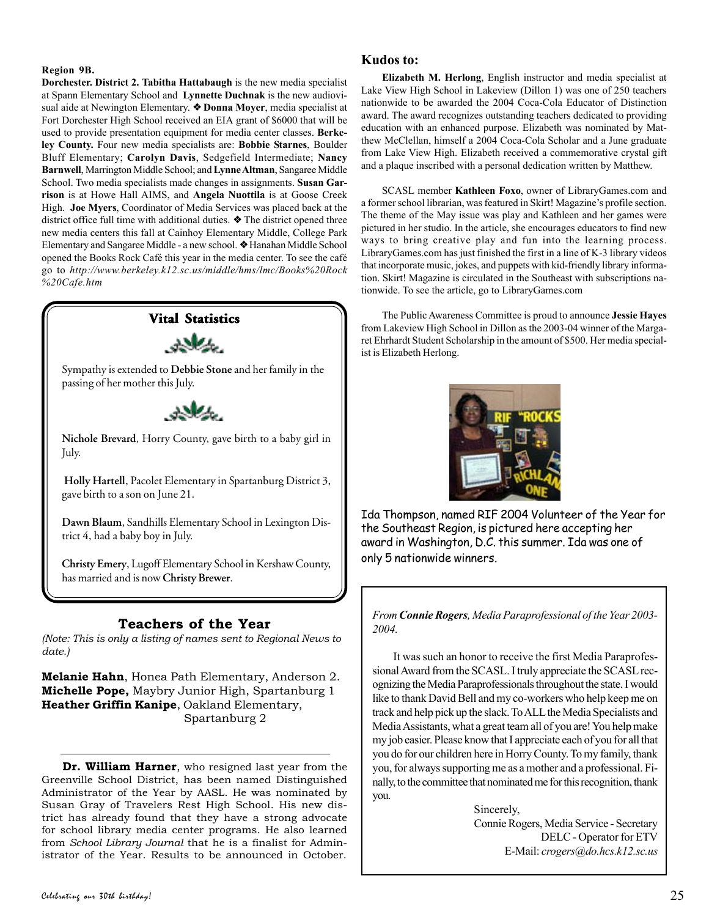### **Region 9B.**

**Dorchester. District 2. Tabitha Hattabaugh** is the new media specialist at Spann Elementary School and **Lynnette Duchnak** is the new audiovisual aide at Newington Elementary. ❖ **Donna Moyer**, media specialist at Fort Dorchester High School received an EIA grant of \$6000 that will be used to provide presentation equipment for media center classes. **Berkeley County.** Four new media specialists are: **Bobbie Starnes**, Boulder Bluff Elementary; **Carolyn Davis**, Sedgefield Intermediate; **Nancy Barnwell**, Marrington Middle School; and **Lynne Altman**, Sangaree Middle School. Two media specialists made changes in assignments. **Susan Garrison** is at Howe Hall AIMS, and **Angela Nuottila** is at Goose Creek High. **Joe Myers**, Coordinator of Media Services was placed back at the district office full time with additional duties. ❖ The district opened three new media centers this fall at Cainhoy Elementary Middle, College Park Elementary and Sangaree Middle - a new school. ❖ Hanahan Middle School opened the Books Rock Café this year in the media center. To see the café go to *http://www.berkeley.k12.sc.us/middle/hms/lmc/Books%20Rock %20Cafe.htm*

## **Vital Statistics**

Sympathy is extended to **Debbie Stone** and her family in the passing of her mother this July.



**Nichole Brevard**, Horry County, gave birth to a baby girl in July.

**Holly Hartell**, Pacolet Elementary in Spartanburg District 3, gave birth to a son on June 21.

**Dawn Blaum**, Sandhills Elementary School in Lexington District 4, had a baby boy in July.

**Christy Emery**, Lugoff Elementary School in Kershaw County, has married and is now **Christy Brewer**.

## **Teachers of the Year**

*(Note: This is only a listing of names sent to Regional News to date.)*

**Melanie Hahn**, Honea Path Elementary, Anderson 2. **Michelle Pope,** Maybry Junior High, Spartanburg 1 **Heather Griffin Kanipe**, Oakland Elementary, Spartanburg 2

**Dr. William Harner**, who resigned last year from the Greenville School District, has been named Distinguished Administrator of the Year by AASL. He was nominated by Susan Gray of Travelers Rest High School. His new district has already found that they have a strong advocate for school library media center programs. He also learned from *School Library Journal* that he is a finalist for Administrator of the Year. Results to be announced in October.

### **Kudos to:**

**Elizabeth M. Herlong**, English instructor and media specialist at Lake View High School in Lakeview (Dillon 1) was one of 250 teachers nationwide to be awarded the 2004 Coca-Cola Educator of Distinction award. The award recognizes outstanding teachers dedicated to providing education with an enhanced purpose. Elizabeth was nominated by Matthew McClellan, himself a 2004 Coca-Cola Scholar and a June graduate from Lake View High. Elizabeth received a commemorative crystal gift and a plaque inscribed with a personal dedication written by Matthew.

SCASL member **Kathleen Foxo**, owner of LibraryGames.com and a former school librarian, was featured in Skirt! Magazine's profile section. The theme of the May issue was play and Kathleen and her games were pictured in her studio. In the article, she encourages educators to find new ways to bring creative play and fun into the learning process. LibraryGames.com has just finished the first in a line of K-3 library videos that incorporate music, jokes, and puppets with kid-friendly library information. Skirt! Magazine is circulated in the Southeast with subscriptions nationwide. To see the article, go to LibraryGames.com

The Public Awareness Committee is proud to announce **Jessie Hayes** from Lakeview High School in Dillon as the 2003-04 winner of the Margaret Ehrhardt Student Scholarship in the amount of \$500. Her media specialist is Elizabeth Herlong.



Ida Thompson, named RIF 2004 Volunteer of the Year for the Southeast Region, is pictured here accepting her award in Washington, D.C. this summer. Ida was one of only 5 nationwide winners.

*From Connie Rogers, Media Paraprofessional of the Year 2003- 2004.*

It was such an honor to receive the first Media Paraprofessional Award from the SCASL. I truly appreciate the SCASL recognizing the Media Paraprofessionals throughout the state. I would like to thank David Bell and my co-workers who help keep me on track and help pick up the slack. To ALL the Media Specialists and Media Assistants, what a great team all of you are! You help make my job easier. Please know that I appreciate each of you for all that you do for our children here in Horry County. To my family, thank you, for always supporting me as a mother and a professional. Finally, to the committee that nominated me for this recognition, thank you.

> Sincerely, Connie Rogers, Media Service - Secretary DELC - Operator for ETV E-Mail: *crogers@do.hcs.k12.sc.us*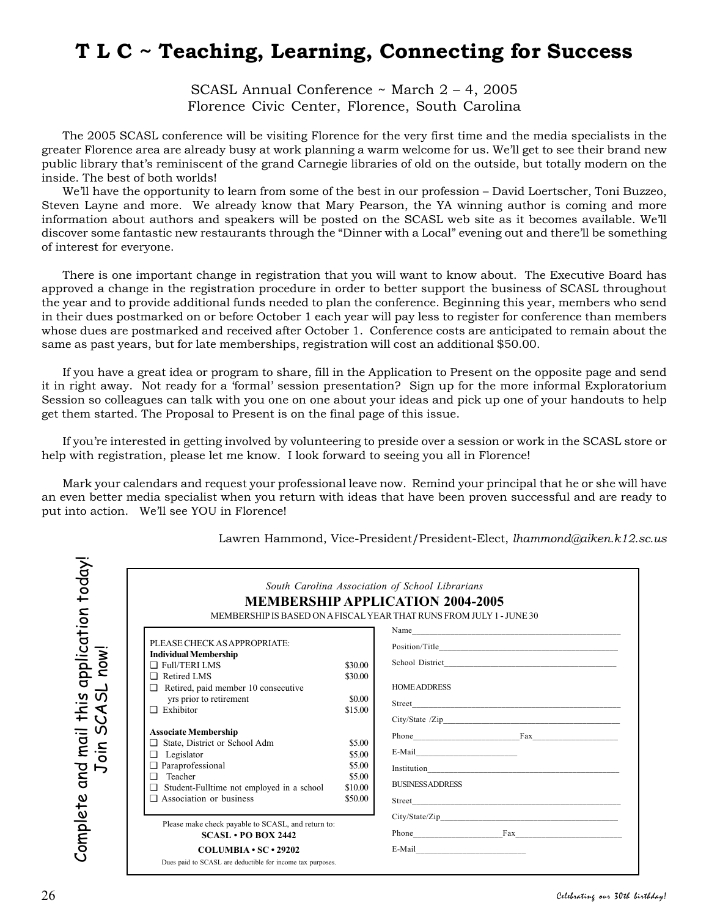## **T L C ~ Teaching, Learning, Connecting for Success**

SCASL Annual Conference ~ March 2 – 4, 2005 Florence Civic Center, Florence, South Carolina

The 2005 SCASL conference will be visiting Florence for the very first time and the media specialists in the greater Florence area are already busy at work planning a warm welcome for us. We'll get to see their brand new public library that's reminiscent of the grand Carnegie libraries of old on the outside, but totally modern on the inside. The best of both worlds!

We'll have the opportunity to learn from some of the best in our profession – David Loertscher, Toni Buzzeo, Steven Layne and more. We already know that Mary Pearson, the YA winning author is coming and more information about authors and speakers will be posted on the SCASL web site as it becomes available. We'll discover some fantastic new restaurants through the "Dinner with a Local" evening out and there'll be something of interest for everyone.

There is one important change in registration that you will want to know about. The Executive Board has approved a change in the registration procedure in order to better support the business of SCASL throughout the year and to provide additional funds needed to plan the conference. Beginning this year, members who send in their dues postmarked on or before October 1 each year will pay less to register for conference than members whose dues are postmarked and received after October 1. Conference costs are anticipated to remain about the same as past years, but for late memberships, registration will cost an additional \$50.00.

If you have a great idea or program to share, fill in the Application to Present on the opposite page and send it in right away. Not ready for a 'formal' session presentation? Sign up for the more informal Exploratorium Session so colleagues can talk with you one on one about your ideas and pick up one of your handouts to help get them started. The Proposal to Present is on the final page of this issue.

If you're interested in getting involved by volunteering to preside over a session or work in the SCASL store or help with registration, please let me know. I look forward to seeing you all in Florence!

Mark your calendars and request your professional leave now. Remind your principal that he or she will have an even better media specialist when you return with ideas that have been proven successful and are ready to put into action. We'll see YOU in Florence!

|                                                                                                                                                                                                                       |                                                            | <b>MEMBERSHIP APPLICATION 2004-2005</b><br>MEMBERSHIP IS BASED ON A FISCAL YEAR THAT RUNS FROM JULY 1 - JUNE 30<br>Name was a series of the series of the series of the series of the series of the series of the series of the series of the series of the series of the series of the series of the series of the series of the series of the s |
|-----------------------------------------------------------------------------------------------------------------------------------------------------------------------------------------------------------------------|------------------------------------------------------------|---------------------------------------------------------------------------------------------------------------------------------------------------------------------------------------------------------------------------------------------------------------------------------------------------------------------------------------------------|
| PLEASE CHECK AS APPROPRIATE:<br><b>Individual Membership</b><br>$\Box$ Full/TERI LMS<br>Retired LMS<br>Retired, paid member 10 consecutive<br>o<br>yrs prior to retirement<br>$\Box$ Exhibitor                        | \$30.00<br>\$30.00<br>\$0.00<br>\$15.00                    | <b>HOME ADDRESS</b>                                                                                                                                                                                                                                                                                                                               |
| <b>Associate Membership</b><br>State, District or School Adm<br>Legislator<br>▫<br><b>Q</b> Paraprofessional<br>Teacher<br>$\Box$<br>Student-Fulltime not employed in a school<br>o<br>$\Box$ Association or business | \$5.00<br>\$5.00<br>\$5.00<br>\$5.00<br>\$10.00<br>\$50.00 | Phone Fax<br><b>BUSINESS ADDRESS</b>                                                                                                                                                                                                                                                                                                              |
| Please make check payable to SCASL, and return to:<br>$SCASI.$ PO BOX 2442                                                                                                                                            |                                                            | $\text{City/State/Zip}\_\!\!\!\!\!\!\text{Output}$                                                                                                                                                                                                                                                                                                |

Lawren Hammond, Vice-President/President-Elect, *lhammond@aiken.k12.sc.us*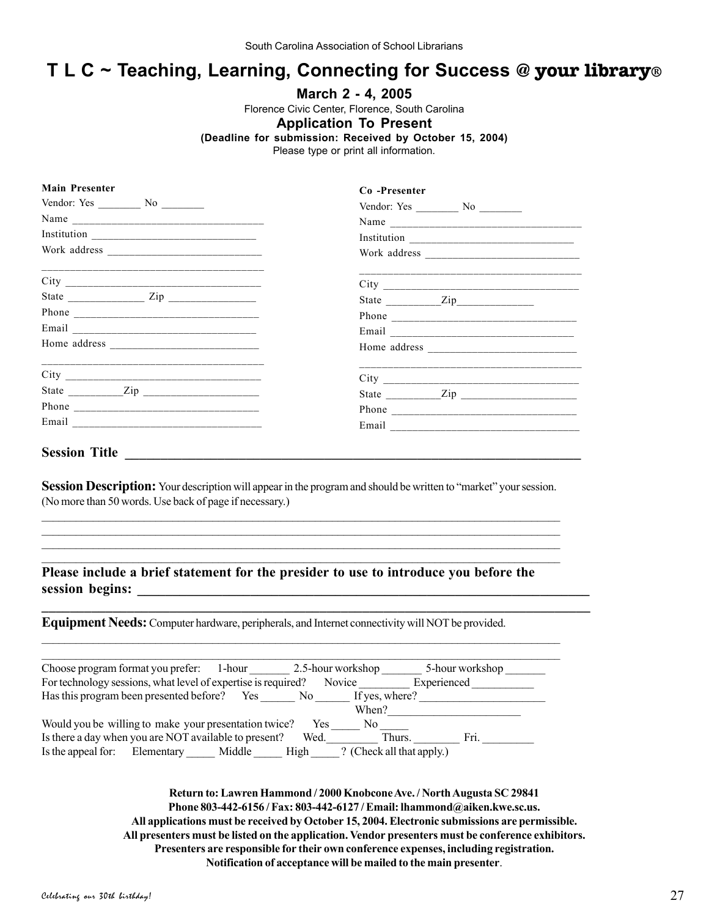## **T L C ~ Teaching, Learning, Connecting for Success @ your library®**

### **March 2 - 4, 2005**

Florence Civic Center, Florence, South Carolina

### **Application To Present**

**(Deadline for submission: Received by October 15, 2004)**

Please type or print all information.

| <b>Main Presenter</b>                                          | Co-Presenter                                                         |
|----------------------------------------------------------------|----------------------------------------------------------------------|
| Vendor: Yes $\_\_\_\_\_\_\_\_\_\_\_\_\_\_\_\_\_\_\_\_\_\_\_\_$ | Vendor: Yes $\_\_\_\_\_\_\_\_\_\_\_\_\_\_\_\_\_\_\_\_\_\_\_\_\_\_\_$ |
|                                                                |                                                                      |
| $\begin{tabular}{c} Institution \\ \hline \end{tabular}$       |                                                                      |
|                                                                |                                                                      |
|                                                                |                                                                      |
|                                                                | State <u>Zip</u>                                                     |
|                                                                |                                                                      |
|                                                                |                                                                      |
|                                                                |                                                                      |
|                                                                |                                                                      |
| State $\frac{Zip}{\cdot}$                                      | State $\frac{Zip}{\cdot}$                                            |
|                                                                |                                                                      |
|                                                                |                                                                      |

## **Session Title \_\_\_\_\_\_\_\_\_\_\_\_\_\_\_\_\_\_\_\_\_\_\_\_\_\_\_\_\_\_\_\_\_\_\_\_\_\_\_\_\_\_\_\_\_\_\_\_\_\_\_\_\_\_\_\_\_\_\_\_\_\_\_\_**

**Session Description:** Your description will appear in the program and should be written to "market" your session. (No more than 50 words. Use back of page if necessary.)  $\mathcal{L}_\mathcal{L} = \{ \mathcal{L}_\mathcal{L} = \{ \mathcal{L}_\mathcal{L} = \{ \mathcal{L}_\mathcal{L} = \{ \mathcal{L}_\mathcal{L} = \{ \mathcal{L}_\mathcal{L} = \{ \mathcal{L}_\mathcal{L} = \{ \mathcal{L}_\mathcal{L} = \{ \mathcal{L}_\mathcal{L} = \{ \mathcal{L}_\mathcal{L} = \{ \mathcal{L}_\mathcal{L} = \{ \mathcal{L}_\mathcal{L} = \{ \mathcal{L}_\mathcal{L} = \{ \mathcal{L}_\mathcal{L} = \{ \mathcal{L}_\mathcal{$ 

 $\mathcal{L}_\mathcal{L} = \{ \mathcal{L}_\mathcal{L} = \{ \mathcal{L}_\mathcal{L} = \{ \mathcal{L}_\mathcal{L} = \{ \mathcal{L}_\mathcal{L} = \{ \mathcal{L}_\mathcal{L} = \{ \mathcal{L}_\mathcal{L} = \{ \mathcal{L}_\mathcal{L} = \{ \mathcal{L}_\mathcal{L} = \{ \mathcal{L}_\mathcal{L} = \{ \mathcal{L}_\mathcal{L} = \{ \mathcal{L}_\mathcal{L} = \{ \mathcal{L}_\mathcal{L} = \{ \mathcal{L}_\mathcal{L} = \{ \mathcal{L}_\mathcal{$  $\mathcal{L}_\mathcal{L} = \{ \mathcal{L}_\mathcal{L} = \{ \mathcal{L}_\mathcal{L} = \{ \mathcal{L}_\mathcal{L} = \{ \mathcal{L}_\mathcal{L} = \{ \mathcal{L}_\mathcal{L} = \{ \mathcal{L}_\mathcal{L} = \{ \mathcal{L}_\mathcal{L} = \{ \mathcal{L}_\mathcal{L} = \{ \mathcal{L}_\mathcal{L} = \{ \mathcal{L}_\mathcal{L} = \{ \mathcal{L}_\mathcal{L} = \{ \mathcal{L}_\mathcal{L} = \{ \mathcal{L}_\mathcal{L} = \{ \mathcal{L}_\mathcal{$  $\mathcal{L}_\mathcal{L} = \{ \mathcal{L}_\mathcal{L} = \{ \mathcal{L}_\mathcal{L} = \{ \mathcal{L}_\mathcal{L} = \{ \mathcal{L}_\mathcal{L} = \{ \mathcal{L}_\mathcal{L} = \{ \mathcal{L}_\mathcal{L} = \{ \mathcal{L}_\mathcal{L} = \{ \mathcal{L}_\mathcal{L} = \{ \mathcal{L}_\mathcal{L} = \{ \mathcal{L}_\mathcal{L} = \{ \mathcal{L}_\mathcal{L} = \{ \mathcal{L}_\mathcal{L} = \{ \mathcal{L}_\mathcal{L} = \{ \mathcal{L}_\mathcal{$ 

**\_\_\_\_\_\_\_\_\_\_\_\_\_\_\_\_\_\_\_\_\_\_\_\_\_\_\_\_\_\_\_\_\_\_\_\_\_\_\_\_\_\_\_\_\_\_\_\_\_\_\_\_\_\_\_\_\_\_\_\_\_\_\_\_\_\_\_\_\_\_\_\_\_\_\_\_\_**

## **Please include a brief statement for the presider to use to introduce you before the session begins: \_\_\_\_\_\_\_\_\_\_\_\_\_\_\_\_\_\_\_\_\_\_\_\_\_\_\_\_\_\_\_\_\_\_\_\_\_\_\_\_\_\_\_\_\_\_\_\_\_\_\_\_\_\_\_\_\_\_\_\_\_\_\_\_**

**Equipment Needs:** Computer hardware, peripherals, and Internet connectivity will NOT be provided.

| Choose program format you prefer: 1-hour                      | 2.5-hour workshop                                                                                                                                                                                                                                | 5-hour workshop |
|---------------------------------------------------------------|--------------------------------------------------------------------------------------------------------------------------------------------------------------------------------------------------------------------------------------------------|-----------------|
| For technology sessions, what level of expertise is required? | Novice                                                                                                                                                                                                                                           | Experienced     |
| Has this program been presented before?<br>Yes                | If yes, where?<br>No the set of the set of the set of the set of the set of the set of the set of the set of the set of the set of the set of the set of the set of the set of the set of the set of the set of the set of the set of the set of |                 |
|                                                               | When?                                                                                                                                                                                                                                            |                 |
| Would you be willing to make your presentation twice?         | Yes.<br>No.                                                                                                                                                                                                                                      |                 |
| Is there a day when you are NOT available to present?         | Thurs.<br>Wed.                                                                                                                                                                                                                                   | Fri.            |
| Is the appeal for: Elementary<br>Middle                       | ? (Check all that apply.)<br>High                                                                                                                                                                                                                |                 |

**Return to: Lawren Hammond / 2000 Knobcone Ave. / North Augusta SC 29841 Phone 803-442-6156 / Fax: 803-442-6127 / Email: lhammond@aiken.kwe.sc.us. All applications must be received by October 15, 2004. Electronic submissions are permissible. All presenters must be listed on the application. Vendor presenters must be conference exhibitors. Presenters are responsible for their own conference expenses, including registration. Notification of acceptance will be mailed to the main presenter**.